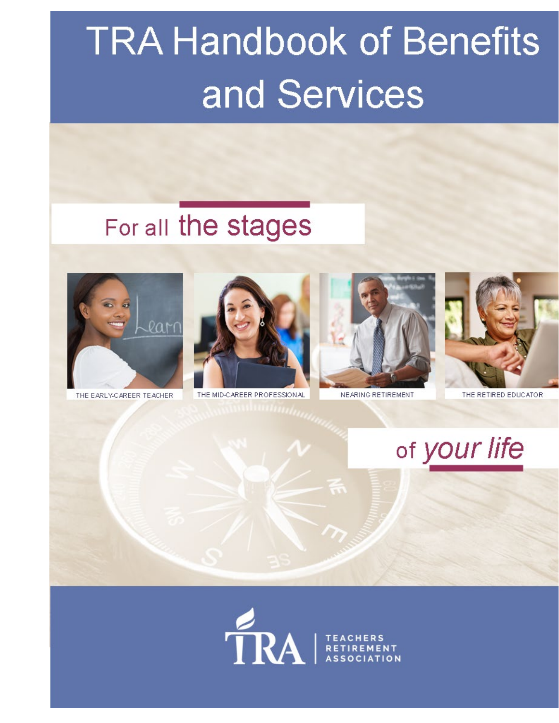# **TRA Handbook of Benefits** and Services

## For all the stages



THE EARLY-CAREER TEACHER



THE MID-CAREER PROFESSIONAL



NEARING RETIREMENT.



THE RETIRED EDUCATOR

of your life

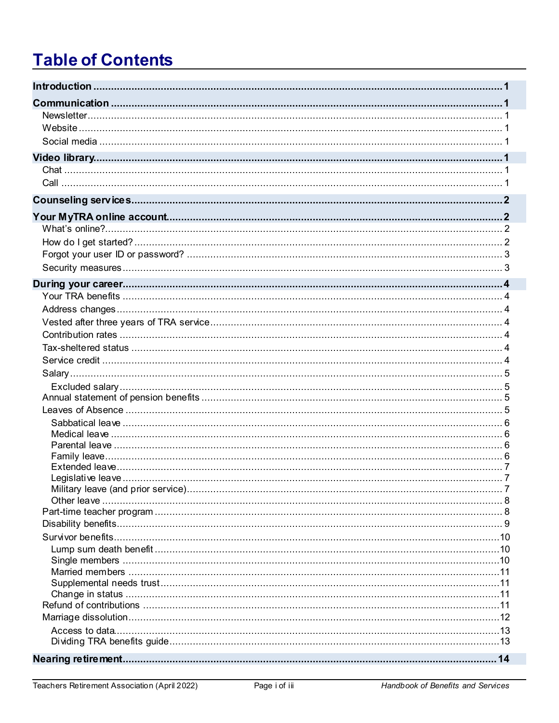## **Table of Contents**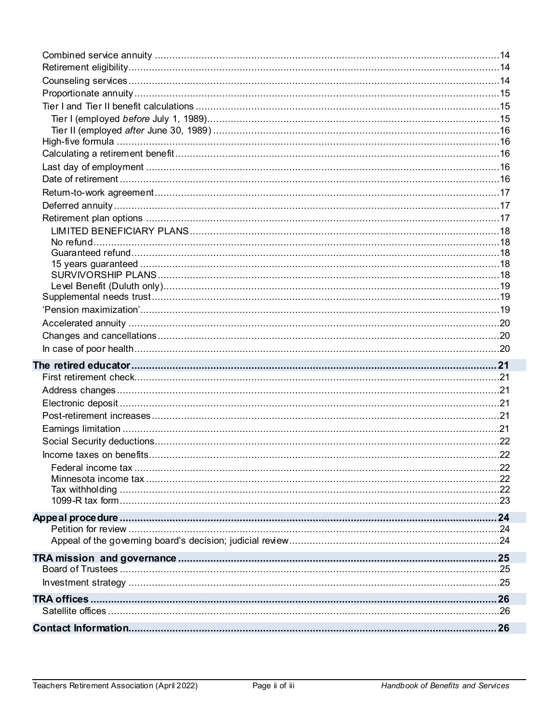| Income taxes on benefits | 22 |
|--------------------------|----|
|                          |    |
|                          |    |
|                          |    |
|                          |    |
|                          |    |
|                          |    |
|                          |    |
|                          |    |
|                          |    |
|                          |    |
|                          |    |
|                          |    |
|                          |    |
|                          |    |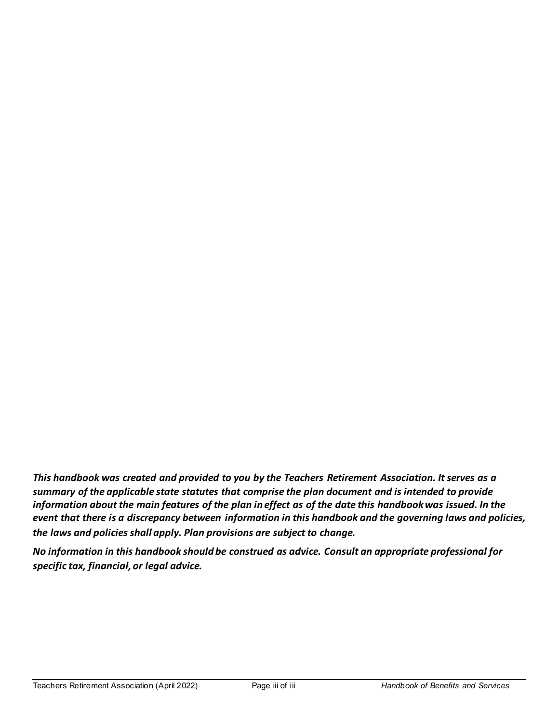*This handbook was created and provided to you by the Teachers Retirement Association. It serves as a summary of the applicable state statutes that comprise the plan document and is intended to provide information about the main features of the plan in effect as of the date this handbook was issued. In the event that there is a discrepancy between information in this handbook and the governing laws and policies, the laws and policies shall apply. Plan provisions are subject to change.*

*No information in this handbook should be construed as advice. Consult an appropriate professional for specific tax, financial, or legal advice.*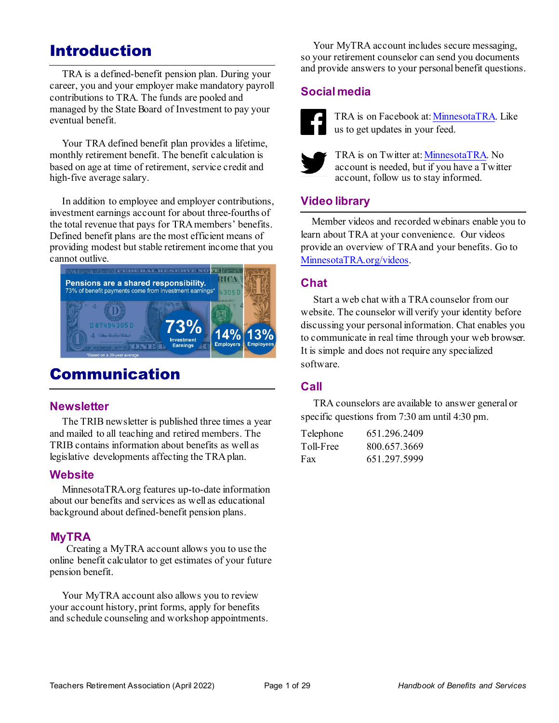## <span id="page-6-0"></span>Introduction

 TRA is a defined-benefit pension plan. During your career, you and your employer make mandatory payroll contributions to TRA. The funds are pooled and managed by the State Board of Investment to pay your eventual benefit.

 Your TRA defined benefit plan provides a lifetime, monthly retirement benefit. The benefit calculation is based on age at time of retirement, service credit and high-five average salary.

 In addition to employee and employer contributions, investment earnings account for about three-fourths of the total revenue that pays for TRA members' benefits. Defined benefit plans are the most efficient means of providing modest but stable retirement income that you cannot outlive.



## <span id="page-6-1"></span>Communication

#### <span id="page-6-2"></span>**Newsletter**

 The TRIB newsletter is published three times a year and mailed to all teaching and retired members. The TRIB contains information about benefits as well as legislative developments affecting the TRA plan.

#### <span id="page-6-3"></span>**Website**

 MinnesotaTRA.org features up-to-date information about our benefits and services as well as educational background about defined-benefit pension plans.

#### **MyTRA**

 Creating a MyTRA account allows you to use the online benefit calculator to get estimates of your future pension benefit.

 Your MyTRA account also allows you to review your account history, print forms, apply for benefits and schedule counseling and workshop appointments.

Your MyTRA account includes secure messaging, so your retirement counselor can send you documents and provide answers to your personal benefit questions.

#### <span id="page-6-4"></span>**Social media**



TRA is on Facebook at: [MinnesotaTRA.](https://www.facebook.com/MinnesotaTRA) Like us to get updates in your feed.



TRA is on Twitter at[: MinnesotaTRA.](https://twitter.com/MinnesotaTRA) No account is needed, but if you have a Twitter account, follow us to stay informed.

#### <span id="page-6-5"></span>**Video library**

Member videos and recorded webinars enable you to learn about TRA at your convenience. Our videos provide an overview of TRAand your benefits. Go to [MinnesotaTRA.org/videos.](https://minnesotatra.org/videos/)

#### <span id="page-6-6"></span>**Chat**

Start a web chat with a TRA counselor from our website. The counselor will verify your identity before discussing your personal information. Chat enables you to communicate in real time through your web browser. It is simple and does not require any specialized software.

#### <span id="page-6-7"></span>**Call**

TRA counselors are available to answer general or specific questions from 7:30 am until 4:30 pm.

| Telephone | 651.296.2409 |
|-----------|--------------|
| Toll-Free | 800.657.3669 |
| Fax       | 651.297.5999 |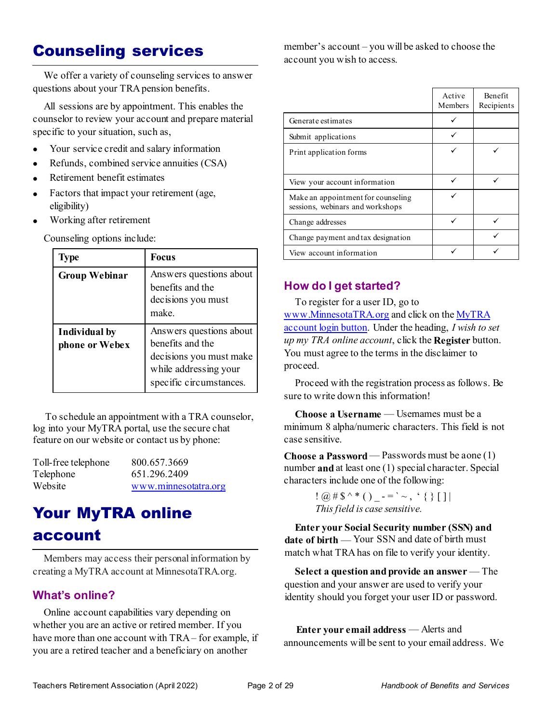## <span id="page-7-0"></span>Counseling services

We offer a variety of counseling services to answer questions about your TRA pension benefits.

All sessions are by appointment. This enables the counselor to review your account and prepare material specific to your situation, such as,

- Your service credit and salary information
- Refunds, combined service annuities (CSA)
- Retirement benefit estimates
- Factors that impact your retirement (age, eligibility)
- Working after retirement

Counseling options include:

| Type                            | <b>Focus</b>                                                                                                               |
|---------------------------------|----------------------------------------------------------------------------------------------------------------------------|
| <b>Group Webinar</b>            | Answers questions about<br>benefits and the<br>decisions you must<br>make.                                                 |
| Individual by<br>phone or Webex | Answers questions about<br>benefits and the<br>decisions you must make<br>while addressing your<br>specific circumstances. |

 To schedule an appointment with a TRA counselor, log into your MyTRA portal, use the secure chat feature on our website or contact us by phone:

| Toll-free telephone | 800.657.3669         |
|---------------------|----------------------|
| Telephone           | 651.296.2409         |
| Website             | www.minnesotatra.org |

## <span id="page-7-1"></span>Your MyTRA online

#### account

Members may access their personal information by creating a MyTRA account at MinnesotaTRA.org.

#### <span id="page-7-2"></span>**What's online?**

Online account capabilities vary depending on whether you are an active or retired member. If you have more than one account with TRA – for example, if you are a retired teacher and a beneficiary on another

member's account – you will be asked to choose the account you wish to access.

|                                                                        | Active<br>Members | <b>Benefit</b><br>Recipients |
|------------------------------------------------------------------------|-------------------|------------------------------|
| Generate estimates                                                     |                   |                              |
| Submit applications                                                    |                   |                              |
| Print application forms                                                |                   |                              |
|                                                                        |                   |                              |
| View your account information                                          |                   |                              |
| Make an appointment for counseling<br>sessions, webinars and workshops |                   |                              |
| Change addresses                                                       |                   |                              |
| Change payment and tax designation                                     |                   |                              |
| View account information                                               |                   |                              |

#### <span id="page-7-3"></span>**How do I get started?**

To register for a user ID, go to [www.MinnesotaTRA.org](http://www.minnesotatra.org/) and click on th[e MyTRA](https://connect.minnesotatra.org/Core/Account/LogOn?ReturnUrl=%2f) [account](https://connect.minnesotatra.org/Core/Account/LogOn?ReturnUrl=%2f) login button. Under the heading, *I wish to set up my TRA online account*, click the **Register** button. You must agree to the terms in the disclaimer to proceed.

Proceed with the registration process as follows. Be sure to write down this information!

**Choose a Username** — Usernames must be a minimum 8 alpha/numeric characters. This field is not case sensitive.

**Choose a Password**— Passwords must be aone (1) number **and** at least one (1) special character. Special characters include one of the following:

> $\{ \omega \# \$\wedge^* \ (\ )\_ - = \ ' \sim \ , \ ' \ \{\ \} \ [ \ ] \ |$  *Thisfield is case sensitive.*

**Enter your Social Security number (SSN) and date of birth** — Your SSN and date of birth must match what TRAhas on file to verify your identity.

**Select a question and provide an answer** — The question and your answer are used to verify your identity should you forget your user ID or password.

 **Enter your email address** — Alerts and announcements will be sent to your email address. We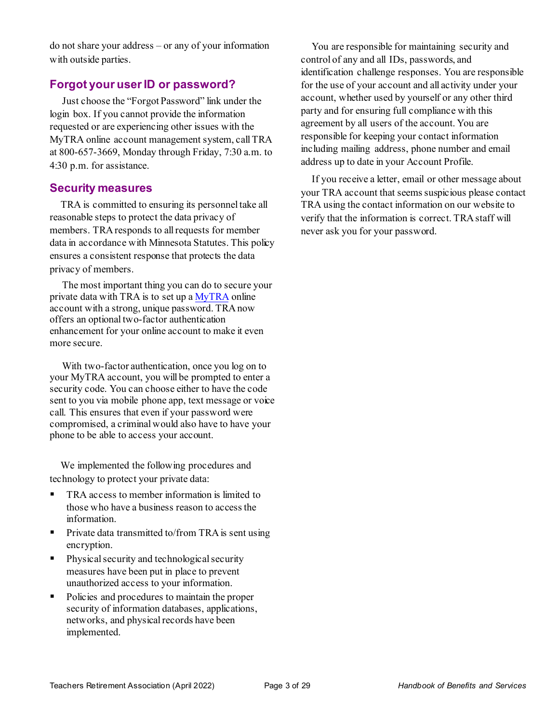do not share your address – or any of your information with outside parties.

#### <span id="page-8-0"></span>**Forgot your user ID or password?**

Just choose the "Forgot Password" link under the login box. If you cannot provide the information requested or are experiencing other issues with the MyTRA online account management system, call TRA at 800-657-3669, Monday through Friday, 7:30 a.m. to 4:30 p.m. for assistance.

#### <span id="page-8-1"></span>**Security measures**

TRA is committed to ensuring its personnel take all reasonable steps to protect the data privacy of members. TRA responds to all requests for member data in accordance with Minnesota Statutes. This policy ensures a consistent response that protects the data privacy of members.

 The most important thing you can do to secure your private data with TRA is to set up a [MyTRA](https://connect.minnesotatra.org/) online account with a strong, unique password. TRA now offers an optional two-factor authentication enhancement for your online account to make it even more secure.

 With two-factor authentication, once you log on to your MyTRA account, you will be prompted to enter a security code. You can choose either to have the code sent to you via mobile phone app, text message or voice call. This ensures that even if your password were compromised, a criminal would also have to have your phone to be able to access your account.

We implemented the following procedures and technology to protect your private data:

- TRA access to member information is limited to those who have a business reason to access the information.
- Private data transmitted to/from TRA is sent using encryption.
- Physical security and technological security measures have been put in place to prevent unauthorized access to your information.
- Policies and procedures to maintain the proper security of information databases, applications, networks, and physical records have been implemented.

You are responsible for maintaining security and control of any and all IDs, passwords, and identification challenge responses. You are responsible for the use of your account and all activity under your account, whether used by yourself or any other third party and for ensuring full compliance with this agreement by all users of the account. You are responsible for keeping your contact information including mailing address, phone number and email address up to date in your Account Profile.

If you receive a letter, email or other message about your TRA account that seems suspicious please contact TRA using the contact information on our website to verify that the information is correct. TRA staff will never ask you for your password.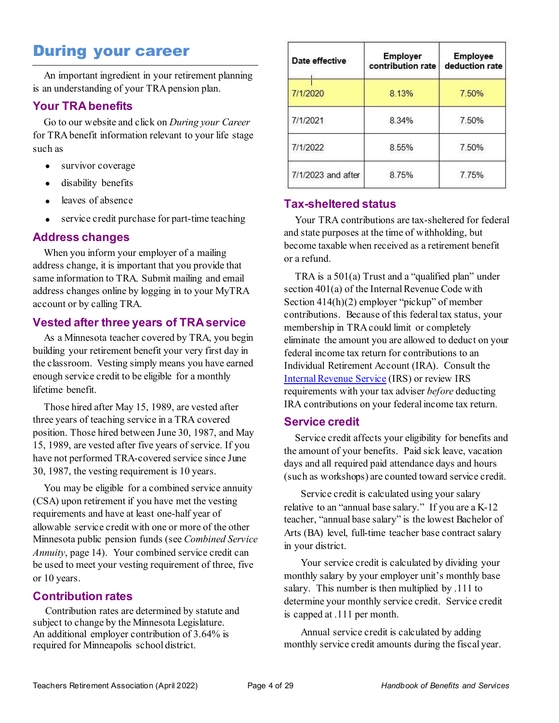### <span id="page-9-0"></span>During your career

An important ingredient in your retirement planning is an understanding of your TRA pension plan.

#### <span id="page-9-1"></span>**Your TRA benefits**

Go to our website and click on *During your Career* for TRA benefit information relevant to your life stage such as

- survivor coverage
- disability benefits
- leaves of absence
- service credit purchase for part-time teaching

#### <span id="page-9-2"></span>**Address changes**

When you inform your employer of a mailing address change, it is important that you provide that same information to TRA. Submit mailing and email address changes online by logging in to your MyTRA account or by calling TRA.

#### <span id="page-9-3"></span>**Vested after three years of TRA service**

As a Minnesota teacher covered by TRA, you begin building your retirement benefit your very first day in the classroom. Vesting simply means you have earned enough service credit to be eligible for a monthly lifetime benefit.

Those hired after May 15, 1989, are vested after three years of teaching service in a TRA covered position. Those hired between June 30, 1987, and May 15, 1989, are vested after five years of service. If you have not performed TRA-covered service since June 30, 1987, the vesting requirement is 10 years.

You may be eligible for a combined service annuity (CSA) upon retirement if you have met the vesting requirements and have at least one-half year of allowable service credit with one or more of the other Minnesota public pension funds (see *Combined Service Annuity*, page 14). Your combined service credit can be used to meet your vesting requirement of three, five or 10 years.

#### <span id="page-9-4"></span>**Contribution rates**

 Contribution rates are determined by statute and subject to change by the Minnesota Legislature. An additional employer contribution of 3.64% is required for Minneapolis school district.

| Date effective     | <b>Employer</b><br>contribution rate | <b>Employee</b><br>deduction rate |
|--------------------|--------------------------------------|-----------------------------------|
| 7/1/2020           | 8.13%                                | 7.50%                             |
| 7/1/2021           | 8.34%                                | 7.50%                             |
| 7/1/2022           | 8.55%                                | 7.50%                             |
| 7/1/2023 and after | 8.75%                                | 7.75%                             |

#### <span id="page-9-5"></span>**Tax-sheltered status**

Your TRA contributions are tax-sheltered for federal and state purposes at the time of withholding, but become taxable when received as a retirement benefit or a refund.

TRA is a 501(a) Trust and a "qualified plan" under section 401(a) of the Internal Revenue Code with Section 414(h)(2) employer "pickup" of member contributions. Because of this federal tax status, your membership in TRA could limit or completely eliminate the amount you are allowed to deduct on your federal income tax return for contributions to an Individual Retirement Account (IRA). Consult the [Internal Revenue Service](http://www.irs.gov/) (IRS) or review IRS requirements with your tax adviser *before* deducting IRA contributions on your federal income tax return.

#### <span id="page-9-6"></span>**Service credit**

Service credit affects your eligibility for benefits and the amount of your benefits. Paid sick leave, vacation days and all required paid attendance days and hours (such as workshops) are counted toward service credit.

Service credit is calculated using your salary relative to an "annual base salary." If you are a K-12 teacher, "annual base salary" is the lowest Bachelor of Arts (BA) level, full-time teacher base contract salary in your district.

Your service credit is calculated by dividing your monthly salary by your employer unit's monthly base salary. This number is then multiplied by .111 to determine your monthly service credit. Service credit is capped at .111 per month.

Annual service credit is calculated by adding monthly service credit amounts during the fiscal year.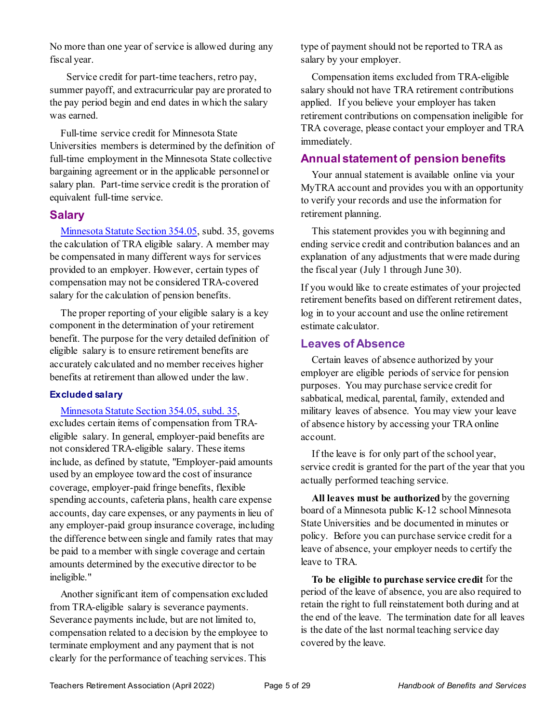No more than one year of service is allowed during any fiscal year.

Service credit for part-time teachers, retro pay, summer payoff, and extracurricular pay are prorated to the pay period begin and end dates in which the salary was earned.

Full-time service credit for Minnesota State Universities members is determined by the definition of full-time employment in the Minnesota State collective bargaining agreement or in the applicable personnel or salary plan. Part-time service credit is the proration of equivalent full-time service.

#### <span id="page-10-0"></span>**Salary**

Minnesota [Statute Section 354.05,](https://www.revisor.mn.gov/statutes/?id=354.05) subd. 35, governs the calculation of TRA eligible salary. A member may be compensated in many different ways for services provided to an employer. However, certain types of compensation may not be considered TRA-covered salary for the calculation of pension benefits.

The proper reporting of your eligible salary is a key component in the determination of your retirement benefit. The purpose for the very detailed definition of eligible salary is to ensure retirement benefits are accurately calculated and no member receives higher benefits at retirement than allowed under the law.

#### <span id="page-10-1"></span>**Excluded salary**

[Minnesota Statute Section 354.05, subd. 35,](https://www.revisor.mn.gov/statutes/cite/354.05#stat.354.05.35) excludes certain items of compensation from TRAeligible salary. In general, employer-paid benefits are not considered TRA-eligible salary. These items include, as defined by statute, "Employer-paid amounts used by an employee toward the cost of insurance coverage, employer-paid fringe benefits, flexible spending accounts, cafeteria plans, health care expense accounts, day care expenses, or any payments in lieu of any employer-paid group insurance coverage, including the difference between single and family rates that may be paid to a member with single coverage and certain amounts determined by the executive director to be ineligible."

Another significant item of compensation excluded from TRA-eligible salary is severance payments. Severance payments include, but are not limited to, compensation related to a decision by the employee to terminate employment and any payment that is not clearly for the performance of teaching services. This

type of payment should not be reported to TRA as salary by your employer.

Compensation items excluded from TRA-eligible salary should not have TRA retirement contributions applied. If you believe your employer has taken retirement contributions on compensation ineligible for TRA coverage, please contact your employer and TRA immediately.

#### <span id="page-10-2"></span>**Annual statement of pension benefits**

Your annual statement is available online via your MyTRA account and provides you with an opportunity to verify your records and use the information for retirement planning.

This statement provides you with beginning and ending service credit and contribution balances and an explanation of any adjustments that were made during the fiscal year (July 1 through June 30).

If you would like to create estimates of your projected retirement benefits based on different retirement dates, log in to your account and use the online retirement estimate calculator.

#### <span id="page-10-3"></span>**Leaves of Absence**

Certain leaves of absence authorized by your employer are eligible periods of service for pension purposes. You may purchase service credit for sabbatical, medical, parental, family, extended and military leaves of absence. You may view your leave of absence history by accessing your TRA online account.

If the leave is for only part of the school year, service credit is granted for the part of the year that you actually performed teaching service.

**All leaves must be authorized** by the governing board of a Minnesota public K-12 school Minnesota State Universities and be documented in minutes or policy. Before you can purchase service credit for a leave of absence, your employer needs to certify the leave to TRA.

**To be eligible to purchase service credit** for the period of the leave of absence, you are also required to retain the right to full reinstatement both during and at the end of the leave. The termination date for all leaves is the date of the last normal teaching service day covered by the leave.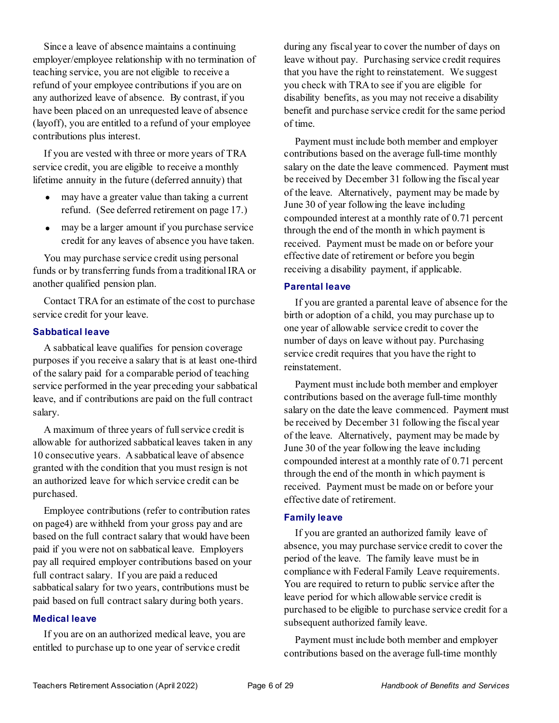Since a leave of absence maintains a continuing employer/employee relationship with no termination of teaching service, you are not eligible to receive a refund of your employee contributions if you are on any authorized leave of absence. By contrast, if you have been placed on an unrequested leave of absence (layoff), you are entitled to a refund of your employee contributions plus interest.

If you are vested with three or more years of TRA service credit, you are eligible to receive a monthly lifetime annuity in the future (deferred annuity) that

- may have a greater value than taking a current refund. (See deferred retirement on page 17.)
- may be a larger amount if you purchase service credit for any leaves of absence you have taken.

You may purchase service credit using personal funds or by transferring funds from a traditional IRA or another qualified pension plan.

Contact TRA for an estimate of the cost to purchase service credit for your leave.

#### <span id="page-11-0"></span>**Sabbatical leave**

A sabbatical leave qualifies for pension coverage purposes if you receive a salary that is at least one-third of the salary paid for a comparable period of teaching service performed in the year preceding your sabbatical leave, and if contributions are paid on the full contract salary.

A maximum of three years of full service credit is allowable for authorized sabbatical leaves taken in any 10 consecutive years. A sabbatical leave of absence granted with the condition that you must resign is not an authorized leave for which service credit can be purchased.

Employee contributions (refer to contribution rates on pag[e4\)](#page-9-4) are withheld from your gross pay and are based on the full contract salary that would have been paid if you were not on sabbatical leave. Employers pay all required employer contributions based on your full contract salary. If you are paid a reduced sabbatical salary for two years, contributions must be paid based on full contract salary during both years.

#### <span id="page-11-1"></span>**Medical leave**

If you are on an authorized medical leave, you are entitled to purchase up to one year of service credit

during any fiscal year to cover the number of days on leave without pay. Purchasing service credit requires that you have the right to reinstatement. We suggest you check with TRA to see if you are eligible for disability benefits, as you may not receive a disability benefit and purchase service credit for the same period of time.

Payment must include both member and employer contributions based on the average full-time monthly salary on the date the leave commenced. Payment must be received by December 31 following the fiscal year of the leave. Alternatively, payment may be made by June 30 of year following the leave including compounded interest at a monthly rate of 0.71 percent through the end of the month in which payment is received. Payment must be made on or before your effective date of retirement or before you begin receiving a disability payment, if applicable.

#### <span id="page-11-2"></span>**Parental leave**

If you are granted a parental leave of absence for the birth or adoption of a child, you may purchase up to one year of allowable service credit to cover the number of days on leave without pay. Purchasing service credit requires that you have the right to reinstatement.

Payment must include both member and employer contributions based on the average full-time monthly salary on the date the leave commenced. Payment must be received by December 31 following the fiscal year of the leave. Alternatively, payment may be made by June 30 of the year following the leave including compounded interest at a monthly rate of 0.71 percent through the end of the month in which payment is received. Payment must be made on or before your effective date of retirement.

#### <span id="page-11-3"></span>**Family leave**

If you are granted an authorized family leave of absence, you may purchase service credit to cover the period of the leave. The family leave must be in compliance with Federal Family Leave requirements. You are required to return to public service after the leave period for which allowable service credit is purchased to be eligible to purchase service credit for a subsequent authorized family leave.

Payment must include both member and employer contributions based on the average full-time monthly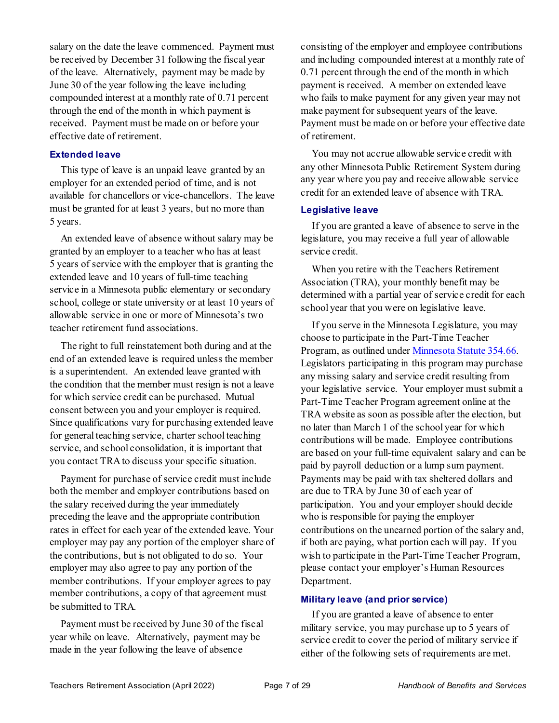salary on the date the leave commenced. Payment must be received by December 31 following the fiscal year of the leave. Alternatively, payment may be made by June 30 of the year following the leave including compounded interest at a monthly rate of 0.71 percent through the end of the month in which payment is received. Payment must be made on or before your effective date of retirement.

#### <span id="page-12-0"></span>**Extended leave**

This type of leave is an unpaid leave granted by an employer for an extended period of time, and is not available for chancellors or vice-chancellors. The leave must be granted for at least 3 years, but no more than 5 years.

An extended leave of absence without salary may be granted by an employer to a teacher who has at least 5 years of service with the employer that is granting the extended leave and 10 years of full-time teaching service in a Minnesota public elementary or secondary school, college or state university or at least 10 years of allowable service in one or more of Minnesota's two teacher retirement fund associations.

The right to full reinstatement both during and at the end of an extended leave is required unless the member is a superintendent. An extended leave granted with the condition that the member must resign is not a leave for which service credit can be purchased. Mutual consent between you and your employer is required. Since qualifications vary for purchasing extended leave for general teaching service, charter school teaching service, and school consolidation, it is important that you contact TRA to discuss your specific situation.

Payment for purchase of service credit must include both the member and employer contributions based on the salary received during the year immediately preceding the leave and the appropriate contribution rates in effect for each year of the extended leave. Your employer may pay any portion of the employer share of the contributions, but is not obligated to do so. Your employer may also agree to pay any portion of the member contributions. If your employer agrees to pay member contributions, a copy of that agreement must be submitted to TRA.

Payment must be received by June 30 of the fiscal year while on leave. Alternatively, payment may be made in the year following the leave of absence

consisting of the employer and employee contributions and including compounded interest at a monthly rate of 0.71 percent through the end of the month in which payment is received. A member on extended leave who fails to make payment for any given year may not make payment for subsequent years of the leave. Payment must be made on or before your effective date of retirement.

You may not accrue allowable service credit with any other Minnesota Public Retirement System during any year where you pay and receive allowable service credit for an extended leave of absence with TRA.

#### <span id="page-12-1"></span>**Legislative leave**

If you are granted a leave of absence to serve in the legislature, you may receive a full year of allowable service credit.

When you retire with the Teachers Retirement Association (TRA), your monthly benefit may be determined with a partial year of service credit for each school year that you were on legislative leave.

If you serve in the Minnesota Legislature, you may choose to participate in the Part-Time Teacher Program, as outlined unde[r Minnesota Statute 354.66.](https://www.revisor.mn.gov/statutes/?id=354.66) Legislators participating in this program may purchase any missing salary and service credit resulting from your legislative service. Your employer must submit a Part-Time Teacher Program agreement online at the TRA website as soon as possible after the election, but no later than March 1 of the school year for which contributions will be made. Employee contributions are based on your full-time equivalent salary and can be paid by payroll deduction or a lump sum payment. Payments may be paid with tax sheltered dollars and are due to TRA by June 30 of each year of participation. You and your employer should decide who is responsible for paying the employer contributions on the unearned portion of the salary and, if both are paying, what portion each will pay. If you wish to participate in the Part-Time Teacher Program, please contact your employer's Human Resources Department.

#### <span id="page-12-2"></span>**Military leave (and prior service)**

If you are granted a leave of absence to enter military service, you may purchase up to 5 years of service credit to cover the period of military service if either of the following sets of requirements are met.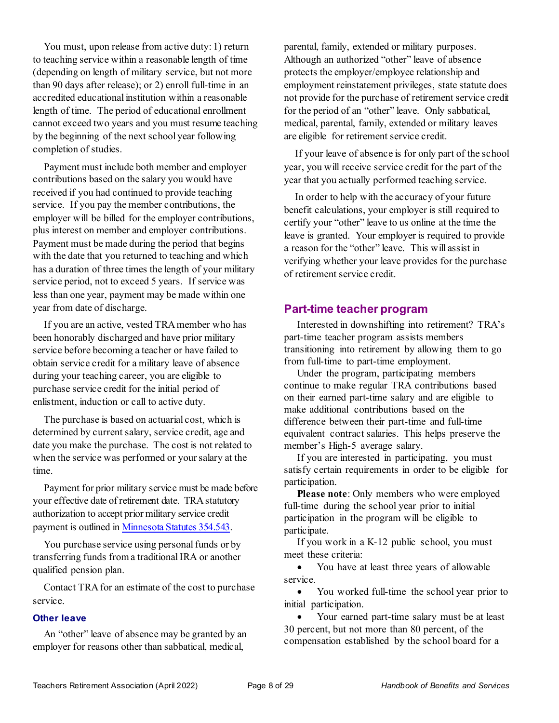You must, upon release from active duty: 1) return to teaching service within a reasonable length of time (depending on length of military service, but not more than 90 days after release); or 2) enroll full-time in an accredited educational institution within a reasonable length of time. The period of educational enrollment cannot exceed two years and you must resume teaching by the beginning of the next school year following completion of studies.

Payment must include both member and employer contributions based on the salary you would have received if you had continued to provide teaching service. If you pay the member contributions, the employer will be billed for the employer contributions, plus interest on member and employer contributions. Payment must be made during the period that begins with the date that you returned to teaching and which has a duration of three times the length of your military service period, not to exceed 5 years. If service was less than one year, payment may be made within one year from date of discharge.

If you are an active, vested TRA member who has been honorably discharged and have prior military service before becoming a teacher or have failed to obtain service credit for a military leave of absence during your teaching career, you are eligible to purchase service credit for the initial period of enlistment, induction or call to active duty.

The purchase is based on actuarial cost, which is determined by current salary, service credit, age and date you make the purchase. The cost is not related to when the service was performed or your salary at the time.

Payment for prior military service must be made before your effective date of retirement date. TRA statutory authorization to accept prior military service credit payment is outlined i[n Minnesota Statutes 354.543.](https://www.revisor.mn.gov/statutes/?id=354.543)

You purchase service using personal funds or by transferring funds from a traditional IRA or another qualified pension plan.

Contact TRA for an estimate of the cost to purchase service.

#### <span id="page-13-0"></span>**Other leave**

An "other" leave of absence may be granted by an employer for reasons other than sabbatical, medical,

parental, family, extended or military purposes. Although an authorized "other" leave of absence protects the employer/employee relationship and employment reinstatement privileges, state statute does not provide for the purchase of retirement service credit for the period of an "other" leave. Only sabbatical, medical, parental, family, extended or military leaves are eligible for retirement service credit.

If your leave of absence is for only part of the school year, you will receive service credit for the part of the year that you actually performed teaching service.

In order to help with the accuracy of your future benefit calculations, your employer is still required to certify your "other" leave to us online at the time the leave is granted. Your employer is required to provide a reason for the "other" leave. This will assist in verifying whether your leave provides for the purchase of retirement service credit.

#### <span id="page-13-1"></span>**Part-time teacher program**

Interested in downshifting into retirement? TRA's part-time teacher program assists members transitioning into retirement by allowing them to go from full-time to part-time employment.

Under the program, participating members continue to make regular TRA contributions based on their earned part-time salary and are eligible to make additional contributions based on the difference between their part-time and full-time equivalent contract salaries. This helps preserve the member's High-5 average salary.

If you are interested in participating, you must satisfy certain requirements in order to be eligible for participation.

**Please note**: Only members who were employed full-time during the school year prior to initial participation in the program will be eligible to participate.

If you work in a K-12 public school, you must meet these criteria:

• You have at least three years of allowable service.

• You worked full-time the school year prior to initial participation.

• Your earned part-time salary must be at least 30 percent, but not more than 80 percent, of the compensation established by the school board for a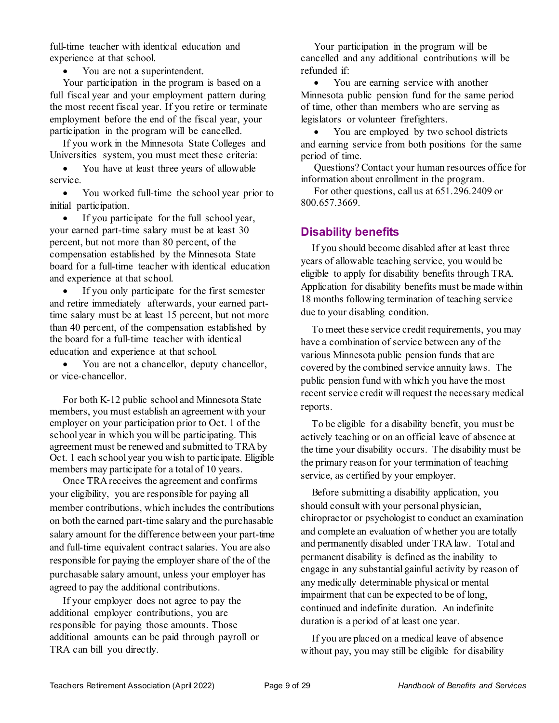full-time teacher with identical education and experience at that school.

• You are not a superintendent.

Your participation in the program is based on a full fiscal year and your employment pattern during the most recent fiscal year. If you retire or terminate employment before the end of the fiscal year, your participation in the program will be cancelled.

If you work in the Minnesota State Colleges and Universities system, you must meet these criteria:

• You have at least three years of allowable service.

• You worked full-time the school year prior to initial participation.

• If you participate for the full school year, your earned part-time salary must be at least 30 percent, but not more than 80 percent, of the compensation established by the Minnesota State board for a full-time teacher with identical education and experience at that school.

• If you only participate for the first semester and retire immediately afterwards, your earned parttime salary must be at least 15 percent, but not more than 40 percent, of the compensation established by the board for a full-time teacher with identical education and experience at that school.

• You are not a chancellor, deputy chancellor, or vice-chancellor.

For both K-12 public school and Minnesota State members, you must establish an agreement with your employer on your participation prior to Oct. 1 of the school year in which you will be participating. This agreement must be renewed and submitted to TRA by Oct. 1 each school year you wish to participate. Eligible members may participate for a total of 10 years.

Once TRA receives the agreement and confirms your eligibility, you are responsible for paying all member contributions, which includes the contributions on both the earned part-time salary and the purchasable salary amount for the difference between your part-time and full-time equivalent contract salaries. You are also responsible for paying the employer share of the of the purchasable salary amount, unless your employer has agreed to pay the additional contributions.

If your employer does not agree to pay the additional employer contributions, you are responsible for paying those amounts. Those additional amounts can be paid through payroll or TRA can bill you directly.

Your participation in the program will be cancelled and any additional contributions will be refunded if:

• You are earning service with another Minnesota public pension fund for the same period of time, other than members who are serving as legislators or volunteer firefighters.

• You are employed by two school districts and earning service from both positions for the same period of time.

Questions? Contact your human resources office for information about enrollment in the program.

For other questions, call us at 651.296.2409 or 800.657.3669.

#### <span id="page-14-0"></span>**Disability benefits**

If you should become disabled after at least three years of allowable teaching service, you would be eligible to apply for disability benefits through TRA. Application for disability benefits must be made within 18 months following termination of teaching service due to your disabling condition.

To meet these service credit requirements, you may have a combination of service between any of the various Minnesota public pension funds that are covered by the combined service annuity laws. The public pension fund with which you have the most recent service credit will request the necessary medical reports.

To be eligible for a disability benefit, you must be actively teaching or on an official leave of absence at the time your disability occurs. The disability must be the primary reason for your termination of teaching service, as certified by your employer.

Before submitting a disability application, you should consult with your personal physician, chiropractor or psychologist to conduct an examination and complete an evaluation of whether you are totally and permanently disabled under TRA law. Total and permanent disability is defined as the inability to engage in any substantial gainful activity by reason of any medically determinable physical or mental impairment that can be expected to be of long, continued and indefinite duration. An indefinite duration is a period of at least one year.

If you are placed on a medical leave of absence without pay, you may still be eligible for disability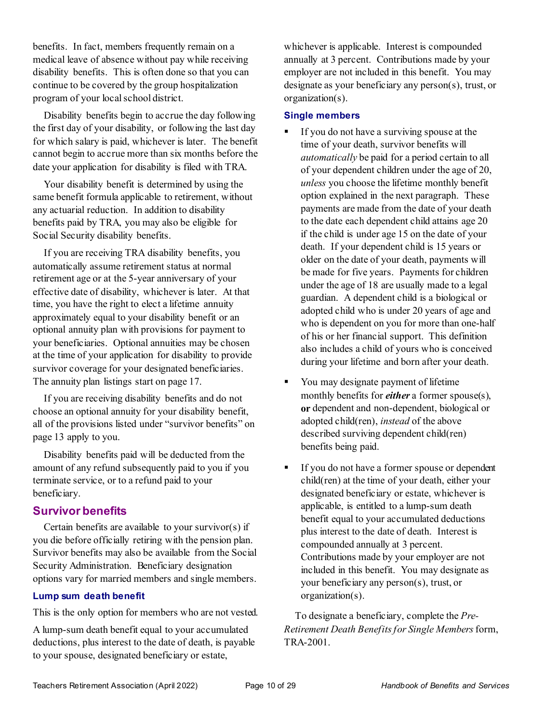benefits. In fact, members frequently remain on a medical leave of absence without pay while receiving disability benefits. This is often done so that you can continue to be covered by the group hospitalization program of your local school district.

Disability benefits begin to accrue the day following the first day of your disability, or following the last day for which salary is paid, whichever is later. The benefit cannot begin to accrue more than six months before the date your application for disability is filed with TRA.

Your disability benefit is determined by using the same benefit formula applicable to retirement, without any actuarial reduction. In addition to disability benefits paid by TRA, you may also be eligible for Social Security disability benefits.

If you are receiving TRA disability benefits, you automatically assume retirement status at normal retirement age or at the 5-year anniversary of your effective date of disability, whichever is later. At that time, you have the right to elect a lifetime annuity approximately equal to your disability benefit or an optional annuity plan with provisions for payment to your beneficiaries. Optional annuities may be chosen at the time of your application for disability to provide survivor coverage for your designated beneficiaries. The annuity plan listings start on page [17.](#page-22-3)

If you are receiving disability benefits and do not choose an optional annuity for your disability benefit, all of the provisions listed under "survivor benefits" on page [13](#page-18-2) apply to you.

Disability benefits paid will be deducted from the amount of any refund subsequently paid to you if you terminate service, or to a refund paid to your beneficiary.

#### <span id="page-15-0"></span>**Survivor benefits**

Certain benefits are available to your survivor(s) if you die before officially retiring with the pension plan. Survivor benefits may also be available from the Social Security Administration. Beneficiary designation options vary for married members and single members.

#### <span id="page-15-1"></span>**Lump sum death benefit**

This is the only option for members who are not vested.

A lump-sum death benefit equal to your accumulated deductions, plus interest to the date of death, is payable to your spouse, designated beneficiary or estate,

whichever is applicable. Interest is compounded annually at 3 percent. Contributions made by your employer are not included in this benefit. You may designate as your beneficiary any person(s), trust, or organization(s).

#### <span id="page-15-2"></span>**Single members**

- If you do not have a surviving spouse at the time of your death, survivor benefits will *automatically* be paid for a period certain to all of your dependent children under the age of 20, *unless* you choose the lifetime monthly benefit option explained in the next paragraph. These payments are made from the date of your death to the date each dependent child attains age 20 if the child is under age 15 on the date of your death. If your dependent child is 15 years or older on the date of your death, payments will be made for five years. Payments for children under the age of 18 are usually made to a legal guardian. A dependent child is a biological or adopted child who is under 20 years of age and who is dependent on you for more than one-half of his or her financial support. This definition also includes a child of yours who is conceived during your lifetime and born after your death.
- You may designate payment of lifetime monthly benefits for *either* a former spouse(s), **or** dependent and non-dependent, biological or adopted child(ren), *instead* of the above described surviving dependent child(ren) benefits being paid.
- If you do not have a former spouse or dependent child(ren) at the time of your death, either your designated beneficiary or estate, whichever is applicable, is entitled to a lump-sum death benefit equal to your accumulated deductions plus interest to the date of death. Interest is compounded annually at 3 percent. Contributions made by your employer are not included in this benefit. You may designate as your beneficiary any person(s), trust, or organization(s).

To designate a beneficiary, complete the *Pre-Retirement Death Benefits for Single Members*form, TRA-2001.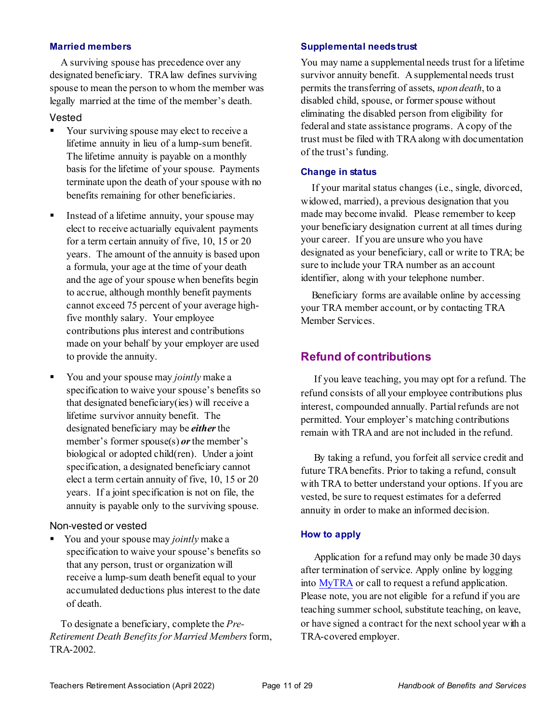#### <span id="page-16-0"></span>**Married members**

A surviving spouse has precedence over any designated beneficiary. TRA law defines surviving spouse to mean the person to whom the member was legally married at the time of the member's death.

#### Vested

- Your surviving spouse may elect to receive a lifetime annuity in lieu of a lump-sum benefit. The lifetime annuity is payable on a monthly basis for the lifetime of your spouse. Payments terminate upon the death of your spouse with no benefits remaining for other beneficiaries.
- Instead of a lifetime annuity, your spouse may elect to receive actuarially equivalent payments for a term certain annuity of five, 10, 15 or 20 years. The amount of the annuity is based upon a formula, your age at the time of your death and the age of your spouse when benefits begin to accrue, although monthly benefit payments cannot exceed 75 percent of your average highfive monthly salary. Your employee contributions plus interest and contributions made on your behalf by your employer are used to provide the annuity.
- You and your spouse may *jointly* make a specification to waive your spouse's benefits so that designated beneficiary(ies) will receive a lifetime survivor annuity benefit. The designated beneficiary may be *either*the member's former spouse(s) *or* the member's biological or adopted child(ren). Under a joint specification, a designated beneficiary cannot elect a term certain annuity of five, 10, 15 or 20 years. If a joint specification is not on file, the annuity is payable only to the surviving spouse.

#### Non-vested or vested

 You and your spouse may *jointly* make a specification to waive your spouse's benefits so that any person, trust or organization will receive a lump-sum death benefit equal to your accumulated deductions plus interest to the date of death.

To designate a beneficiary, complete the *Pre-Retirement Death Benefits for Married Members*form, TRA-2002.

#### <span id="page-16-1"></span>**Supplemental needs trust**

You may name a supplemental needs trust for a lifetime survivor annuity benefit. A supplemental needs trust permits the transferring of assets, *upon death*, to a disabled child, spouse, or former spouse without eliminating the disabled person from eligibility for federal and state assistance programs. A copy of the trust must be filed with TRA along with documentation of the trust's funding.

#### <span id="page-16-2"></span>**Change in status**

If your marital status changes (i.e., single, divorced, widowed, married), a previous designation that you made may become invalid. Please remember to keep your beneficiary designation current at all times during your career. If you are unsure who you have designated as your beneficiary, call or write to TRA; be sure to include your TRA number as an account identifier, along with your telephone number.

Beneficiary forms are available online by accessing your TRA member account, or by contacting TRA Member Services.

#### <span id="page-16-3"></span>**Refund of contributions**

If you leave teaching, you may opt for a refund. The refund consists of all your employee contributions plus interest, compounded annually. Partial refunds are not permitted. Your employer's matching contributions remain with TRA and are not included in the refund.

By taking a refund, you forfeit all service credit and future TRA benefits. Prior to taking a refund, consult with TRA to better understand your options. If you are vested, be sure to request estimates for a deferred annuity in order to make an informed decision.

#### **How to apply**

Application for a refund may only be made 30 days after termination of service. Apply online by logging into [MyTRA](https://connect.minnesotatra.org/Core/Account/LogOn?ReturnUrl=%2f) or call to request a refund application. Please note, you are not eligible for a refund if you are teaching summer school, substitute teaching, on leave, or have signed a contract for the next school year with a TRA-covered employer.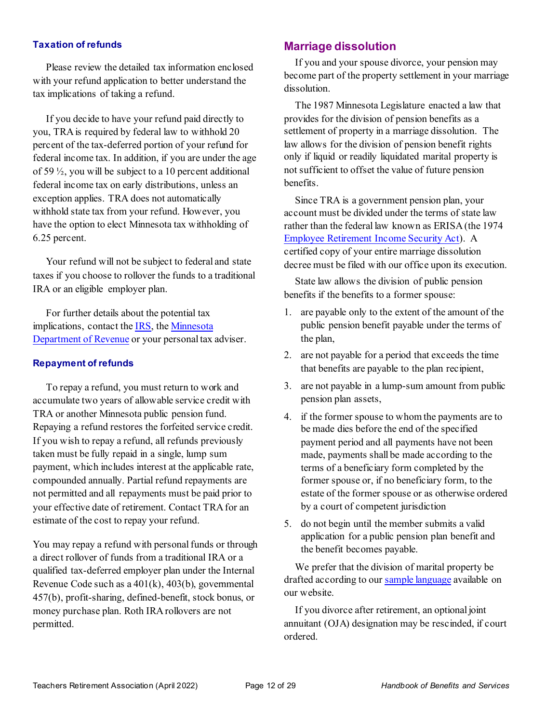#### **Taxation of refunds**

Please review the detailed tax information enclosed with your refund application to better understand the tax implications of taking a refund.

If you decide to have your refund paid directly to you, TRA is required by federal law to withhold 20 percent of the tax-deferred portion of your refund for federal income tax. In addition, if you are under the age of 59 ½, you will be subject to a 10 percent additional federal income tax on early distributions, unless an exception applies. TRA does not automatically withhold state tax from your refund. However, you have the option to elect Minnesota tax withholding of 6.25 percent.

Your refund will not be subject to federal and state taxes if you choose to rollover the funds to a traditional IRA or an eligible employer plan.

For further details about the potential tax implications, contact the [IRS,](http://www.irs.gov/) the [Minnesota](https://www.revenue.state.mn.us/)  [Department of Revenue](https://www.revenue.state.mn.us/) or your personal tax adviser.

#### **Repayment of refunds**

To repay a refund, you must return to work and accumulate two years of allowable service credit with TRA or another Minnesota public pension fund. Repaying a refund restores the forfeited service credit. If you wish to repay a refund, all refunds previously taken must be fully repaid in a single, lump sum payment, which includes interest at the applicable rate, compounded annually. Partial refund repayments are not permitted and all repayments must be paid prior to your effective date of retirement. Contact TRA for an estimate of the cost to repay your refund.

You may repay a refund with personal funds or through a direct rollover of funds from a traditional IRA or a qualified tax-deferred employer plan under the Internal Revenue Code such as a 401(k), 403(b), governmental 457(b), profit-sharing, defined-benefit, stock bonus, or money purchase plan. Roth IRA rollovers are not permitted.

#### <span id="page-17-0"></span>**Marriage dissolution**

If you and your spouse divorce, your pension may become part of the property settlement in your marriage dissolution.

The 1987 Minnesota Legislature enacted a law that provides for the division of pension benefits as a settlement of property in a marriage dissolution. The law allows for the division of pension benefit rights only if liquid or readily liquidated marital property is not sufficient to offset the value of future pension benefits.

Since TRA is a government pension plan, your account must be divided under the terms of state law rather than the federal law known as ERISA (the 1974 [Employee Retirement Income Security Act\)](http://www.dol.gov/dol/topic/health-plans/erisa.htm). A certified copy of your entire marriage dissolution decree must be filed with our office upon its execution.

State law allows the division of public pension benefits if the benefits to a former spouse:

- 1. are payable only to the extent of the amount of the public pension benefit payable under the terms of the plan,
- 2. are not payable for a period that exceeds the time that benefits are payable to the plan recipient,
- 3. are not payable in a lump-sum amount from public pension plan assets,
- 4. if the former spouse to whom the payments are to be made dies before the end of the specified payment period and all payments have not been made, payments shall be made according to the terms of a beneficiary form completed by the former spouse or, if no beneficiary form, to the estate of the former spouse or as otherwise ordered by a court of competent jurisdiction
- 5. do not begin until the member submits a valid application for a public pension plan benefit and the benefit becomes payable.

We prefer that the division of marital property be drafted according to ou[r sample language](https://minnesotatra.org/resources/divorce/) available on our website.

If you divorce after retirement, an optional joint annuitant (OJA) designation may be rescinded, if court ordered.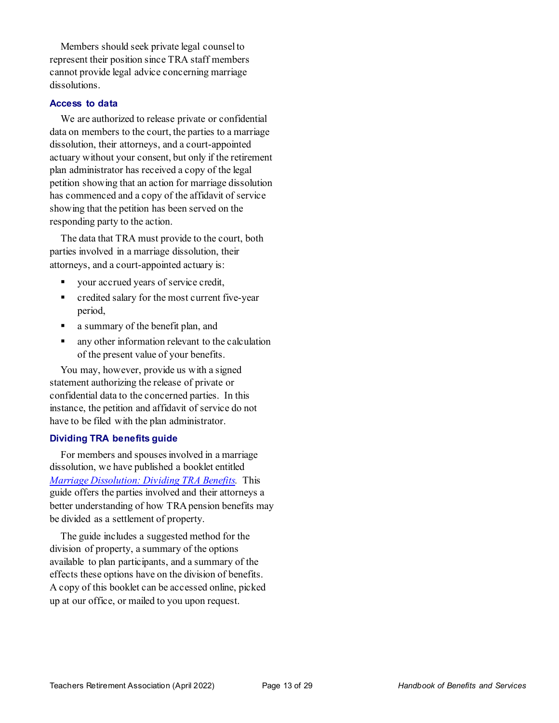Members should seek private legal counsel to represent their position since TRA staff members cannot provide legal advice concerning marriage dissolutions.

#### <span id="page-18-0"></span>**Access to data**

We are authorized to release private or confidential data on members to the court, the parties to a marriage dissolution, their attorneys, and a court-appointed actuary without your consent, but only if the retirement plan administrator has received a copy of the legal petition showing that an action for marriage dissolution has commenced and a copy of the affidavit of service showing that the petition has been served on the responding party to the action.

The data that TRA must provide to the court, both parties involved in a marriage dissolution, their attorneys, and a court-appointed actuary is:

- your accrued years of service credit,
- **•** credited salary for the most current five-year period,
- a summary of the benefit plan, and
- **a** any other information relevant to the calculation of the present value of your benefits.

You may, however, provide us with a signed statement authorizing the release of private or confidential data to the concerned parties. In this instance, the petition and affidavit of service do not have to be filed with the plan administrator.

#### <span id="page-18-1"></span>**Dividing TRA benefits guide**

For members and spouses involved in a marriage dissolution, we have published a booklet entitled *[Marriage Dissolution: Dividing TRA Benefits](https://minnesotatra.org/resources/divorce/).* This guide offers the parties involved and their attorneys a better understanding of how TRA pension benefits may be divided as a settlement of property.

<span id="page-18-2"></span>The guide includes a suggested method for the division of property, a summary of the options available to plan participants, and a summary of the effects these options have on the division of benefits. A copy of this booklet can be accessed online, picked up at our office, or mailed to you upon request.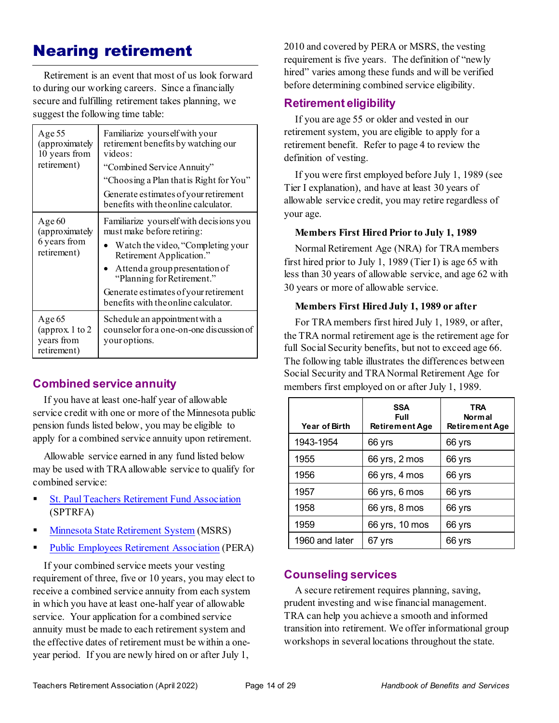## <span id="page-19-0"></span>Nearing retirement

Retirement is an event that most of us look forward to during our working careers. Since a financially secure and fulfilling retirement takes planning, we suggest the following time table:

| Age 55<br>(approximately<br>10 years from<br>retirement) | Familiarize yourself with your<br>retirement benefits by watching our<br>videos:<br>"Combined Service Annuity"<br>"Choosing a Plan that is Right for You"<br>Generate estimates of your retirement<br>benefits with the online calculator.                                             |
|----------------------------------------------------------|----------------------------------------------------------------------------------------------------------------------------------------------------------------------------------------------------------------------------------------------------------------------------------------|
| Age 60<br>(approximately<br>6 years from<br>retirement)  | Familiarize yourself with decisions you<br>must make before retiring:<br>Watch the video, "Completing your<br>Retirement Application."<br>Attenda group presentation of<br>"Planning for Retirement."<br>Generate estimates of your retirement<br>benefits with the online calculator. |
| Age $65$<br>(approx. 1 to 2<br>years from<br>retirement) | Schedule an appointment with a<br>counselor for a one-on-one discussion of<br>your options.                                                                                                                                                                                            |

#### <span id="page-19-1"></span>**Combined service annuity**

If you have at least one-half year of allowable service credit with one or more of the Minnesota public pension funds listed below, you may be eligible to apply for a combined service annuity upon retirement.

Allowable service earned in any fund listed below may be used with TRA allowable service to qualify for combined service:

- St. [Paul Teachers Retirement Fund Association](http://www.sptrfa.org/) (SPTRFA)
- [Minnesota State Retirement System](http://www.msrs.state.mn.us/) (MSRS)
- [Public Employees Retirement Association](http://www.mnpera.org/) (PERA)

If your combined service meets your vesting requirement of three, five or 10 years, you may elect to receive a combined service annuity from each system in which you have at least one-half year of allowable service. Your application for a combined service annuity must be made to each retirement system and the effective dates of retirement must be within a oneyear period. If you are newly hired on or after July 1,

2010 and covered by PERA or MSRS, the vesting requirement is five years. The definition of "newly hired" varies among these funds and will be verified before determining combined service eligibility.

#### <span id="page-19-2"></span>**Retirement eligibility**

If you are age 55 or older and vested in our retirement system, you are eligible to apply for a retirement benefit. Refer to page [4](#page-9-3) to review the definition of vesting.

If you were first employed before July 1, 1989 (see Tier I explanation), and have at least 30 years of allowable service credit, you may retire regardless of your age.

#### <span id="page-19-4"></span>**Members First Hired Prior to July 1, 1989**

Normal Retirement Age (NRA) for TRA members first hired prior to July 1, 1989 (Tier I) is age 65 with less than 30 years of allowable service, and age 62 with 30 years or more of allowable service.

#### **Members First Hired July 1, 1989 or after**

For TRA members first hired July 1, 1989, or after, the TRA normal retirement age is the retirement age for full Social Security benefits, but not to exceed age 66. The following table illustrates the differences between Social Security and TRA Normal Retirement Age for members first employed on or after July 1, 1989.

| <b>Year of Birth</b> | <b>SSA</b><br>Full<br><b>Retirement Age</b> | <b>TRA</b><br><b>Normal</b><br><b>Retirement Age</b> |
|----------------------|---------------------------------------------|------------------------------------------------------|
| 1943-1954            | 66 yrs                                      | 66 yrs                                               |
| 1955                 | 66 yrs, 2 mos                               | 66 yrs                                               |
| 1956                 | 66 yrs, 4 mos                               | 66 yrs                                               |
| 1957                 | 66 yrs, 6 mos                               | 66 yrs                                               |
| 1958                 | 66 yrs, 8 mos                               | 66 yrs                                               |
| 1959                 | 66 yrs, 10 mos                              | 66 yrs                                               |
| 1960 and later       | 67 vrs                                      | 66 yrs                                               |

#### <span id="page-19-3"></span>**Counseling services**

A secure retirement requires planning, saving, prudent investing and wise financial management. TRA can help you achieve a smooth and informed transition into retirement. We offer informational group workshops in several locations throughout the state.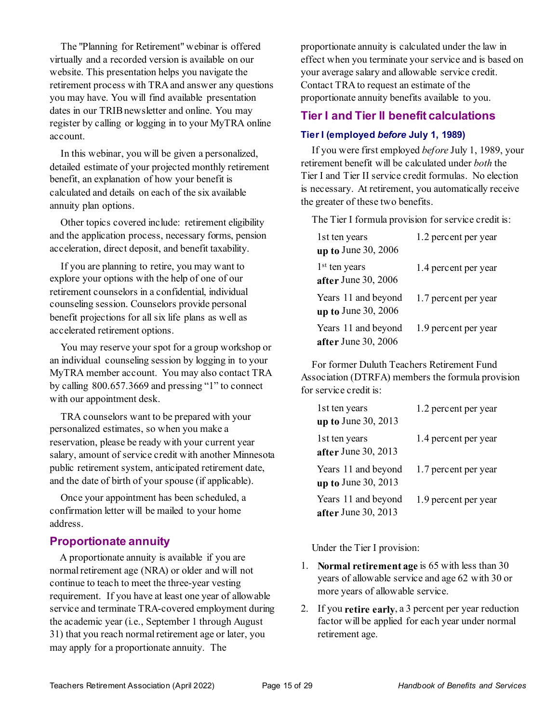The "Planning for Retirement" webinar is offered virtually and a recorded version is available on our website. This presentation helps you navigate the retirement process with TRA and answer any questions you may have. You will find available presentation dates in our TRIB newsletter and online. You may register by calling or logging in to your MyTRA online account.

In this webinar, you will be given a personalized, detailed estimate of your projected monthly retirement benefit, an explanation of how your benefit is calculated and details on each of the six available annuity plan options.

Other topics covered include: retirement eligibility and the application process, necessary forms, pension acceleration, direct deposit, and benefit taxability.

If you are planning to retire, you may want to explore your options with the help of one of our retirement counselors in a confidential, individual counseling session. Counselors provide personal benefit projections for all six life plans as well as accelerated retirement options.

You may reserve your spot for a group workshop or an individual counseling session by logging in to your MyTRA member account. You may also contact TRA by calling 800.657.3669 and pressing "1" to connect with our appointment desk.

TRA counselors want to be prepared with your personalized estimates, so when you make a reservation, please be ready with your current year salary, amount of service credit with another Minnesota public retirement system, anticipated retirement date, and the date of birth of your spouse (if applicable).

Once your appointment has been scheduled, a confirmation letter will be mailed to your home address.

#### <span id="page-20-0"></span>**Proportionate annuity**

A proportionate annuity is available if you are normal retirement age (NRA) or older and will not continue to teach to meet the three-year vesting requirement. If you have at least one year of allowable service and terminate TRA-covered employment during the academic year (i.e., September 1 through August 31) that you reach normal retirement age or later, you may apply for a proportionate annuity. The

proportionate annuity is calculated under the law in effect when you terminate your service and is based on your average salary and allowable service credit. Contact TRA to request an estimate of the proportionate annuity benefits available to you.

#### <span id="page-20-1"></span>**Tier I and Tier II benefit calculations**

#### <span id="page-20-2"></span>**Tier I (employed** *before* **July 1, 1989)**

If you were first employed *before* July 1, 1989, your retirement benefit will be calculated under *both* the Tier I and Tier II service credit formulas. No election is necessary. At retirement, you automatically receive the greater of these two benefits.

The Tier I formula provision for service credit is:

| 1st ten years             | 1.2 percent per year |
|---------------------------|----------------------|
| up to June 30, 2006       |                      |
| 1 <sup>st</sup> ten years | 1.4 percent per year |
| after June 30, 2006       |                      |
| Years 11 and beyond       | 1.7 percent per year |
| up to June 30, $2006$     |                      |
| Years 11 and beyond       | 1.9 percent per year |
| after June 30, 2006       |                      |

For former Duluth Teachers Retirement Fund Association (DTRFA) members the formula provision for service credit is:

| 1st ten years<br>up to June 30, $2013$       | 1.2 percent per year |
|----------------------------------------------|----------------------|
| 1st ten years<br>after June $30, 2013$       | 1.4 percent per year |
| Years 11 and beyond<br>$up$ to June 30, 2013 | 1.7 percent per year |
| Years 11 and beyond<br>after June $30, 2013$ | 1.9 percent per year |

Under the Tier I provision:

- 1. **Normal retirement age** is 65 with less than 30 years of allowable service and age 62 with 30 or more years of allowable service.
- 2. If you **retire early**, a 3 percent per year reduction factor will be applied for each year under normal retirement age.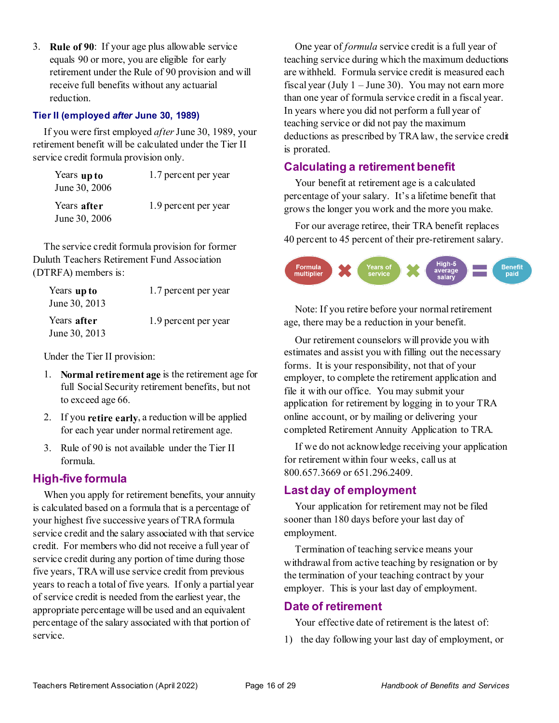3. **Rule of 90**: If your age plus allowable service equals 90 or more, you are eligible for early retirement under the Rule of 90 provision and will receive full benefits without any actuarial reduction.

#### <span id="page-21-0"></span>**Tier II (employed** *after* **June 30, 1989)**

If you were first employed *after* June 30, 1989, your retirement benefit will be calculated under the Tier II service credit formula provision only.

| Years up to<br>June 30, 2006 | 1.7 percent per year |
|------------------------------|----------------------|
| Years after<br>June 30, 2006 | 1.9 percent per year |

The service credit formula provision for former Duluth Teachers Retirement Fund Association (DTRFA) members is:

| Years up to<br>June 30, 2013 | 1.7 percent per year |
|------------------------------|----------------------|
| Years after<br>June 30, 2013 | 1.9 percent per year |

Under the Tier II provision:

- 1. **Normal retirement age** is the retirement age for full Social Security retirement benefits, but not to exceed age 66.
- 2. If you **retire early**, a reduction will be applied for each year under normal retirement age.
- 3. Rule of 90 is not available under the Tier II formula.

#### <span id="page-21-1"></span>**High-five formula**

When you apply for retirement benefits, your annuity is calculated based on a formula that is a percentage of your highest five successive years of TRA formula service credit and the salary associated with that service credit. For members who did not receive a full year of service credit during any portion of time during those five years, TRA will use service credit from previous years to reach a total of five years. If only a partial year of service credit is needed from the earliest year, the appropriate percentage will be used and an equivalent percentage of the salary associated with that portion of service.

One year of *formula* service credit is a full year of teaching service during which the maximum deductions are withheld. Formula service credit is measured each fiscal year (July  $1 -$  June 30). You may not earn more than one year of formula service credit in a fiscal year. In years where you did not perform a full year of teaching service or did not pay the maximum deductions as prescribed by TRA law, the service credit is prorated.

#### <span id="page-21-2"></span>**Calculating a retirement benefit**

Your benefit at retirement age is a calculated percentage of your salary. It's a lifetime benefit that grows the longer you work and the more you make.

For our average retiree, their TRA benefit replaces 40 percent to 45 percent of their pre-retirement salary.



Note: If you retire before your normal retirement age, there may be a reduction in your benefit.

Our retirement counselors will provide you with estimates and assist you with filling out the necessary forms. It is your responsibility, not that of your employer, to complete the retirement application and file it with our office. You may submit your application for retirement by logging in to your TRA online account, or by mailing or delivering your completed Retirement Annuity Application to TRA.

If we do not acknowledge receiving your application for retirement within four weeks, call us at 800.657.3669 or 651.296.2409.

#### <span id="page-21-3"></span>**Last day of employment**

Your application for retirement may not be filed sooner than 180 days before your last day of employment.

Termination of teaching service means your withdrawal from active teaching by resignation or by the termination of your teaching contract by your employer. This is your last day of employment.

#### <span id="page-21-4"></span>**Date of retirement**

Your effective date of retirement is the latest of:

1) the day following your last day of employment, or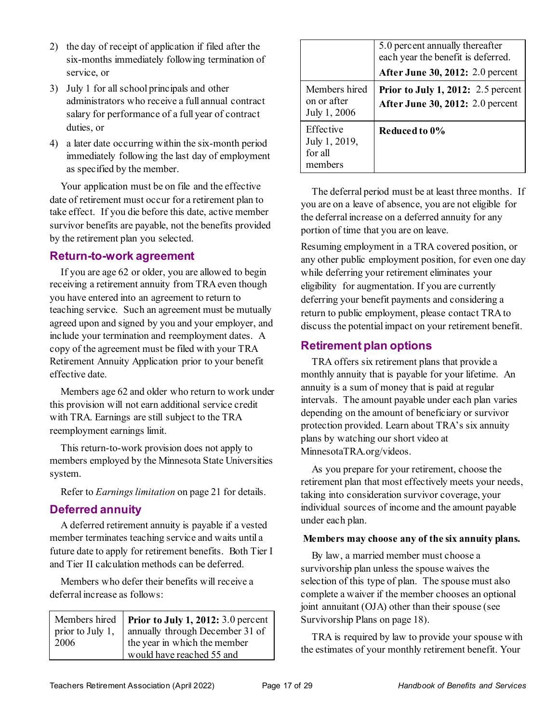- 2) the day of receipt of application if filed after the six-months immediately following termination of service, or
- 3) July 1 for all school principals and other administrators who receive a full annual contract salary for performance of a full year of contract duties, or
- 4) a later date occurring within the six-month period immediately following the last day of employment as specified by the member.

Your application must be on file and the effective date of retirement must occur for a retirement plan to take effect. If you die before this date, active member survivor benefits are payable, not the benefits provided by the retirement plan you selected.

#### <span id="page-22-0"></span>**Return-to-work agreement**

If you are age 62 or older, you are allowed to begin receiving a retirement annuity from TRA even though you have entered into an agreement to return to teaching service. Such an agreement must be mutually agreed upon and signed by you and your employer, and include your termination and reemployment dates. A copy of the agreement must be filed with your TRA Retirement Annuity Application prior to your benefit effective date.

Members age 62 and older who return to work under this provision will not earn additional service credit with TRA. Earnings are still subject to the TRA reemployment earnings limit.

This return-to-work provision does not apply to members employed by the Minnesota State Universities system.

Refer to *Earnings limitation* on pag[e 21](#page-26-5) for details.

#### <span id="page-22-1"></span>**Deferred annuity**

A deferred retirement annuity is payable if a vested member terminates teaching service and waits until a future date to apply for retirement benefits. Both Tier I and Tier II calculation methods can be deferred.

Members who defer their benefits will receive a deferral increase as follows:

| Members hired<br>prior to July 1, 2012: $3.0$ percent<br>prior to July 1,<br>2006<br>the year in which the member<br>would have reached 55 and |
|------------------------------------------------------------------------------------------------------------------------------------------------|
|                                                                                                                                                |

|                                                  | 5.0 percent annually thereafter<br>each year the benefit is deferred.<br><b>After June 30, 2012: 2.0 percent</b> |
|--------------------------------------------------|------------------------------------------------------------------------------------------------------------------|
| Members hired<br>on or after<br>July 1, 2006     | <b>Prior to July 1, 2012:</b> 2.5 percent<br>After June 30, 2012: 2.0 percent                                    |
| Effective<br>July 1, 2019,<br>for all<br>members | Reduced to 0%                                                                                                    |

The deferral period must be at least three months. If you are on a leave of absence, you are not eligible for the deferral increase on a deferred annuity for any portion of time that you are on leave.

<span id="page-22-3"></span>Resuming employment in a TRA covered position, or any other public employment position, for even one day while deferring your retirement eliminates your eligibility for augmentation. If you are currently deferring your benefit payments and considering a return to public employment, please contact TRA to discuss the potential impact on your retirement benefit.

#### <span id="page-22-2"></span>**Retirement plan options**

TRA offers six retirement plans that provide a monthly annuity that is payable for your lifetime. An annuity is a sum of money that is paid at regular intervals. The amount payable under each plan varies depending on the amount of beneficiary or survivor protection provided. Learn about TRA's six annuity plans by watching our short video at MinnesotaTRA.org/videos.

As you prepare for your retirement, choose the retirement plan that most effectively meets your needs, taking into consideration survivor coverage, your individual sources of income and the amount payable under each plan.

#### **Members may choose any of the six annuity plans.**

By law, a married member must choose a survivorship plan unless the spouse waives the selection of this type of plan. The spouse must also complete a waiver if the member chooses an optional joint annuitant (OJA) other than their spouse (see Survivorship Plans on page [18\)](#page-23-4).

TRA is required by law to provide your spouse with the estimates of your monthly retirement benefit. Your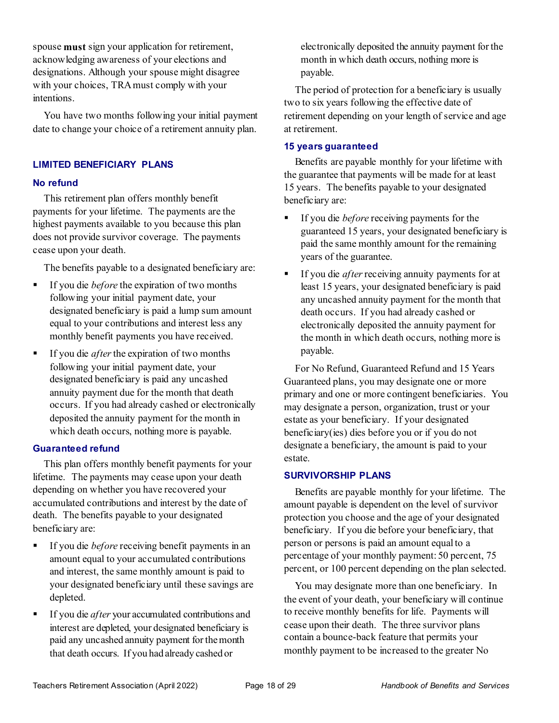spouse **must** sign your application for retirement, acknowledging awareness of your elections and designations. Although your spouse might disagree with your choices, TRA must comply with your intentions.

You have two months following your initial payment date to change your choice of a retirement annuity plan.

#### <span id="page-23-0"></span>**LIMITED BENEFICIARY PLANS**

#### <span id="page-23-1"></span>**No refund**

This retirement plan offers monthly benefit payments for your lifetime. The payments are the highest payments available to you because this plan does not provide survivor coverage. The payments cease upon your death.

The benefits payable to a designated beneficiary are:

- If you die *before* the expiration of two months following your initial payment date, your designated beneficiary is paid a lump sum amount equal to your contributions and interest less any monthly benefit payments you have received.
- If you die *after*the expiration of two months following your initial payment date, your designated beneficiary is paid any uncashed annuity payment due for the month that death occurs. If you had already cashed or electronically deposited the annuity payment for the month in which death occurs, nothing more is payable.

#### <span id="page-23-2"></span>**Guaranteed refund**

This plan offers monthly benefit payments for your lifetime. The payments may cease upon your death depending on whether you have recovered your accumulated contributions and interest by the date of death. The benefits payable to your designated beneficiary are:

- **If you die** *before* receiving benefit payments in an amount equal to your accumulated contributions and interest, the same monthly amount is paid to your designated beneficiary until these savings are depleted.
- If you die *after* your accumulated contributions and interest are depleted, your designated beneficiary is paid any uncashed annuity payment for the month that death occurs. If you had already cashed or

electronically deposited the annuity payment for the month in which death occurs, nothing more is payable.

The period of protection for a beneficiary is usually two to six years following the effective date of retirement depending on your length of service and age at retirement.

#### <span id="page-23-3"></span>**15 years guaranteed**

Benefits are payable monthly for your lifetime with the guarantee that payments will be made for at least 15 years. The benefits payable to your designated beneficiary are:

- If you die *before* receiving payments for the guaranteed 15 years, your designated beneficiary is paid the same monthly amount for the remaining years of the guarantee.
- If you die *after*receiving annuity payments for at least 15 years, your designated beneficiary is paid any uncashed annuity payment for the month that death occurs. If you had already cashed or electronically deposited the annuity payment for the month in which death occurs, nothing more is payable.

For No Refund, Guaranteed Refund and 15 Years Guaranteed plans, you may designate one or more primary and one or more contingent beneficiaries. You may designate a person, organization, trust or your estate as your beneficiary. If your designated beneficiary(ies) dies before you or if you do not designate a beneficiary, the amount is paid to your estate.

#### <span id="page-23-4"></span>**SURVIVORSHIP PLANS**

Benefits are payable monthly for your lifetime. The amount payable is dependent on the level of survivor protection you choose and the age of your designated beneficiary. If you die before your beneficiary, that person or persons is paid an amount equal to a percentage of your monthly payment: 50 percent, 75 percent, or 100 percent depending on the plan selected.

You may designate more than one beneficiary. In the event of your death, your beneficiary will continue to receive monthly benefits for life. Payments will cease upon their death. The three survivor plans contain a bounce-back feature that permits your monthly payment to be increased to the greater No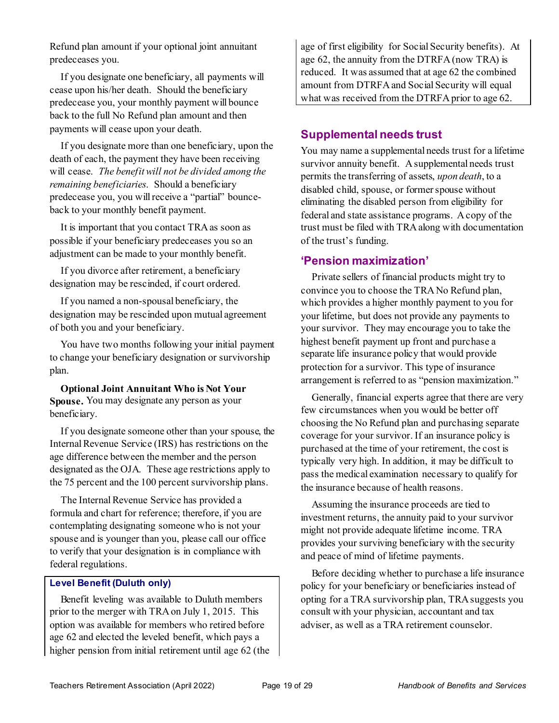Refund plan amount if your optional joint annuitant predeceases you.

If you designate one beneficiary, all payments will cease upon his/her death. Should the beneficiary predecease you, your monthly payment will bounce back to the full No Refund plan amount and then payments will cease upon your death.

If you designate more than one beneficiary, upon the death of each, the payment they have been receiving will cease. *The benefit will not be divided among the remaining beneficiaries*. Should a beneficiary predecease you, you will receive a "partial" bounceback to your monthly benefit payment.

It is important that you contact TRA as soon as possible if your beneficiary predeceases you so an adjustment can be made to your monthly benefit.

If you divorce after retirement, a beneficiary designation may be rescinded, if court ordered.

If you named a non-spousal beneficiary, the designation may be rescinded upon mutual agreement of both you and your beneficiary.

You have two months following your initial payment to change your beneficiary designation or survivorship plan.

**Optional Joint Annuitant Who is Not Your Spouse.** You may designate any person as your beneficiary.

If you designate someone other than your spouse, the Internal Revenue Service (IRS) has restrictions on the age difference between the member and the person designated as the OJA. These age restrictions apply to the 75 percent and the 100 percent survivorship plans.

The Internal Revenue Service has provided a formula and chart for reference; therefore, if you are contemplating designating someone who is not your spouse and is younger than you, please call our office to verify that your designation is in compliance with federal regulations.

#### <span id="page-24-0"></span>**Level Benefit (Duluth only)**

Benefit leveling was available to Duluth members prior to the merger with TRA on July 1, 2015. This option was available for members who retired before age 62 and elected the leveled benefit, which pays a higher pension from initial retirement until age 62 (the

age of first eligibility for Social Security benefits). At age 62, the annuity from the DTRFA (now TRA) is reduced. It was assumed that at age 62 the combined amount from DTRFA and Social Security will equal what was received from the DTRFA prior to age 62.

#### <span id="page-24-1"></span>**Supplemental needs trust**

You may name a supplemental needs trust for a lifetime survivor annuity benefit. A supplemental needs trust permits the transferring of assets, *upon death*, to a disabled child, spouse, or former spouse without eliminating the disabled person from eligibility for federal and state assistance programs. A copy of the trust must be filed with TRA along with documentation of the trust's funding.

#### <span id="page-24-2"></span>**'Pension maximization'**

Private sellers of financial products might try to convince you to choose the TRA No Refund plan, which provides a higher monthly payment to you for your lifetime, but does not provide any payments to your survivor. They may encourage you to take the highest benefit payment up front and purchase a separate life insurance policy that would provide protection for a survivor. This type of insurance arrangement is referred to as "pension maximization."

Generally, financial experts agree that there are very few circumstances when you would be better off choosing the No Refund plan and purchasing separate coverage for your survivor. If an insurance policy is purchased at the time of your retirement, the cost is typically very high. In addition, it may be difficult to pass the medical examination necessary to qualify for the insurance because of health reasons.

Assuming the insurance proceeds are tied to investment returns, the annuity paid to your survivor might not provide adequate lifetime income. TRA provides your surviving beneficiary with the security and peace of mind of lifetime payments.

Before deciding whether to purchase a life insurance policy for your beneficiary or beneficiaries instead of opting for a TRA survivorship plan, TRA suggests you consult with your physician, accountant and tax adviser, as well as a TRA retirement counselor.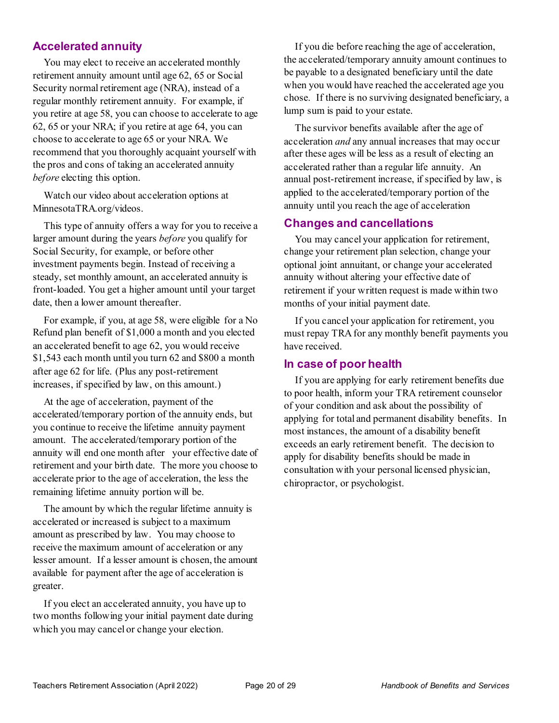#### <span id="page-25-0"></span>**Accelerated annuity**

You may elect to receive an accelerated monthly retirement annuity amount until age 62, 65 or Social Security normal retirement age (NRA), instead of a regular monthly retirement annuity. For example, if you retire at age 58, you can choose to accelerate to age 62, 65 or your NRA; if you retire at age 64, you can choose to accelerate to age 65 or your NRA. We recommend that you thoroughly acquaint yourself with the pros and cons of taking an accelerated annuity *before* electing this option.

Watch our video about acceleration options at MinnesotaTRA.org/videos.

This type of annuity offers a way for you to receive a larger amount during the years *before* you qualify for Social Security, for example, or before other investment payments begin. Instead of receiving a steady, set monthly amount, an accelerated annuity is front-loaded. You get a higher amount until your target date, then a lower amount thereafter.

For example, if you, at age 58, were eligible for a No Refund plan benefit of \$1,000 a month and you elected an accelerated benefit to age 62, you would receive \$1,543 each month until you turn 62 and \$800 a month after age 62 for life. (Plus any post-retirement increases, if specified by law, on this amount.)

At the age of acceleration, payment of the accelerated/temporary portion of the annuity ends, but you continue to receive the lifetime annuity payment amount. The accelerated/temporary portion of the annuity will end one month after your effective date of retirement and your birth date. The more you choose to accelerate prior to the age of acceleration, the less the remaining lifetime annuity portion will be.

The amount by which the regular lifetime annuity is accelerated or increased is subject to a maximum amount as prescribed by law. You may choose to receive the maximum amount of acceleration or any lesser amount. If a lesser amount is chosen, the amount available for payment after the age of acceleration is greater.

If you elect an accelerated annuity, you have up to two months following your initial payment date during which you may cancel or change your election.

If you die before reaching the age of acceleration, the accelerated/temporary annuity amount continues to be payable to a designated beneficiary until the date when you would have reached the accelerated age you chose. If there is no surviving designated beneficiary, a lump sum is paid to your estate.

The survivor benefits available after the age of acceleration *and* any annual increases that may occur after these ages will be less as a result of electing an accelerated rather than a regular life annuity. An annual post-retirement increase, if specified by law, is applied to the accelerated/temporary portion of the annuity until you reach the age of acceleration

#### <span id="page-25-1"></span>**Changes and cancellations**

You may cancel your application for retirement, change your retirement plan selection, change your optional joint annuitant, or change your accelerated annuity without altering your effective date of retirement if your written request is made within two months of your initial payment date.

If you cancel your application for retirement, you must repay TRA for any monthly benefit payments you have received.

#### <span id="page-25-2"></span>**In case of poor health**

If you are applying for early retirement benefits due to poor health, inform your TRA retirement counselor of your condition and ask about the possibility of applying for total and permanent disability benefits. In most instances, the amount of a disability benefit exceeds an early retirement benefit. The decision to apply for disability benefits should be made in consultation with your personal licensed physician, chiropractor, or psychologist.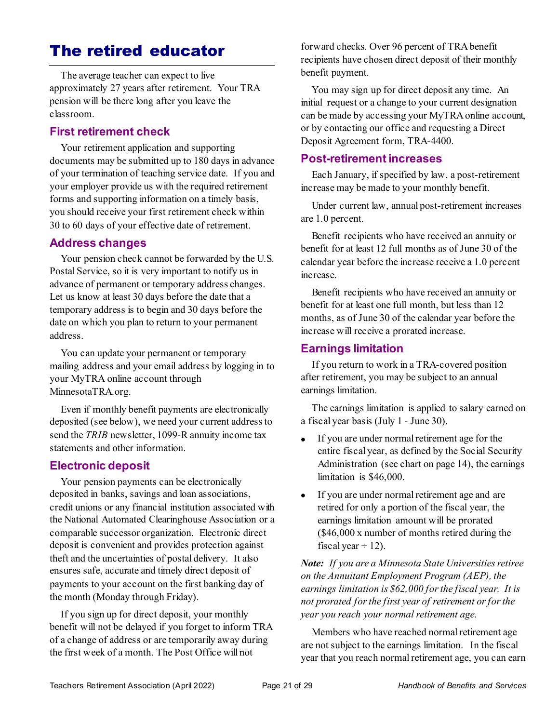## <span id="page-26-0"></span>The retired educator

The average teacher can expect to live approximately 27 years after retirement. Your TRA pension will be there long after you leave the classroom.

#### <span id="page-26-1"></span>**First retirement check**

Your retirement application and supporting documents may be submitted up to 180 days in advance of your termination of teaching service date. If you and your employer provide us with the required retirement forms and supporting information on a timely basis, you should receive your first retirement check within 30 to 60 days of your effective date of retirement.

#### <span id="page-26-2"></span>**Address changes**

Your pension check cannot be forwarded by the U.S. Postal Service, so it is very important to notify us in advance of permanent or temporary address changes. Let us know at least 30 days before the date that a temporary address is to begin and 30 days before the date on which you plan to return to your permanent address.

You can update your permanent or temporary mailing address and your email address by logging in to your MyTRA online account through MinnesotaTRA.org.

Even if monthly benefit payments are electronically deposited (see below), we need your current address to send the *TRIB* newsletter, 1099-R annuity income tax statements and other information.

#### <span id="page-26-3"></span>**Electronic deposit**

Your pension payments can be electronically deposited in banks, savings and loan associations, credit unions or any financial institution associated with the National Automated Clearinghouse Association or a comparable successor organization. Electronic direct deposit is convenient and provides protection against theft and the uncertainties of postal delivery. It also ensures safe, accurate and timely direct deposit of payments to your account on the first banking day of the month (Monday through Friday).

If you sign up for direct deposit, your monthly benefit will not be delayed if you forget to inform TRA of a change of address or are temporarily away during the first week of a month. The Post Office will not

forward checks. Over 96 percent of TRA benefit recipients have chosen direct deposit of their monthly benefit payment.

You may sign up for direct deposit any time. An initial request or a change to your current designation can be made by accessing your MyTRA online account, or by contacting our office and requesting a Direct Deposit Agreement form, TRA-4400.

#### <span id="page-26-4"></span>**Post-retirement increases**

Each January, if specified by law, a post-retirement increase may be made to your monthly benefit.

Under current law, annual post-retirement increases are 1.0 percent.

Benefit recipients who have received an annuity or benefit for at least 12 full months as of June 30 of the calendar year before the increase receive a 1.0 percent increase.

Benefit recipients who have received an annuity or benefit for at least one full month, but less than 12 months, as of June 30 of the calendar year before the increase will receive a prorated increase.

#### <span id="page-26-5"></span>**Earnings limitation**

If you return to work in a TRA-covered position after retirement, you may be subject to an annual earnings limitation.

The earnings limitation is applied to salary earned on a fiscal year basis (July 1 - June 30).

- If you are under normal retirement age for the entire fiscal year, as defined by the Social Security Administration (see chart on pag[e 14\)](#page-19-4), the earnings limitation is \$46,000.
- If you are under normal retirement age and are retired for only a portion of the fiscal year, the earnings limitation amount will be prorated (\$46,000 x number of months retired during the fiscal year  $\div$  12).

*Note: If you are a Minnesota State Universities retiree on the Annuitant Employment Program (AEP), the earnings limitation is \$62,000 for the fiscal year. It is not prorated for the first year of retirement or for the year you reach your normal retirement age.*

Members who have reached normal retirement age are not subject to the earnings limitation. In the fiscal year that you reach normal retirement age, you can earn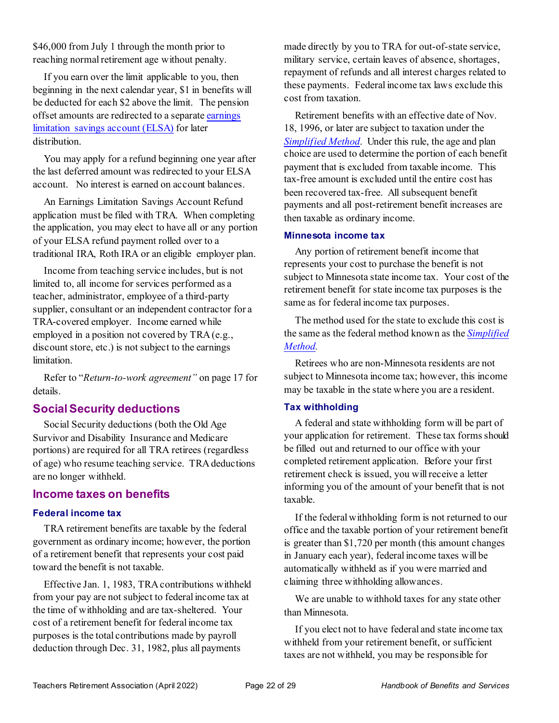\$46,000 from July 1 through the month prior to reaching normal retirement age without penalty.

If you earn over the limit applicable to you, then beginning in the next calendar year, \$1 in benefits will be deducted for each \$2 above the limit. The pension offset amounts are redirected to a separat[e earnings](https://minnesotatra.org/retirees/post-retirement-work-elsa/)  [limitation savings account \(ELSA\)](https://minnesotatra.org/retirees/post-retirement-work-elsa/) for later distribution.

You may apply for a refund beginning one year after the last deferred amount was redirected to your ELSA account. No interest is earned on account balances.

An Earnings Limitation Savings Account Refund application must be filed with TRA. When completing the application, you may elect to have all or any portion of your ELSA refund payment rolled over to a traditional IRA, Roth IRA or an eligible employer plan.

Income from teaching service includes, but is not limited to, all income for services performed as a teacher, administrator, employee of a third-party supplier, consultant or an independent contractor for a TRA-covered employer. Income earned while employed in a position not covered by TRA (e.g., discount store, etc.) is not subject to the earnings limitation.

Refer to "*Return-to-work agreement"* on pag[e 17](#page-22-0) for details.

#### <span id="page-27-0"></span>**Social Security deductions**

Social Security deductions (both the Old Age Survivor and Disability Insurance and Medicare portions) are required for all TRA retirees (regardless of age) who resume teaching service. TRA deductions are no longer withheld.

#### <span id="page-27-1"></span>**Income taxes on benefits**

#### <span id="page-27-2"></span>**Federal income tax**

TRA retirement benefits are taxable by the federal government as ordinary income; however, the portion of a retirement benefit that represents your cost paid toward the benefit is not taxable.

Effective Jan. 1, 1983, TRA contributions withheld from your pay are not subject to federal income tax at the time of withholding and are tax-sheltered. Your cost of a retirement benefit for federal income tax purposes is the total contributions made by payroll deduction through Dec. 31, 1982, plus all payments

made directly by you to TRA for out-of-state service, military service, certain leaves of absence, shortages, repayment of refunds and all interest charges related to these payments. Federal income tax laws exclude this cost from taxation.

Retirement benefits with an effective date of Nov. 18, 1996, or later are subject to taxation under the *[Simplified Method](http://www.irs.gov/taxtopics/tc411.html)*. Under this rule, the age and plan choice are used to determine the portion of each benefit payment that is excluded from taxable income. This tax-free amount is excluded until the entire cost has been recovered tax-free. All subsequent benefit payments and all post-retirement benefit increases are then taxable as ordinary income.

#### <span id="page-27-3"></span>**Minnesota income tax**

Any portion of retirement benefit income that represents your cost to purchase the benefit is not subject to Minnesota state income tax. Your cost of the retirement benefit for state income tax purposes is the same as for federal income tax purposes.

The method used for the state to exclude this cost is the same as the federal method known as the *[Simplified](http://www.irs.gov/taxtopics/tc411.html)  [Method.](http://www.irs.gov/taxtopics/tc411.html)* 

Retirees who are non-Minnesota residents are not subject to Minnesota income tax; however, this income may be taxable in the state where you are a resident.

#### <span id="page-27-4"></span>**Tax withholding**

A federal and state withholding form will be part of your application for retirement. These tax forms should be filled out and returned to our office with your completed retirement application. Before your first retirement check is issued, you will receive a letter informing you of the amount of your benefit that is not taxable.

If the federal withholding form is not returned to our office and the taxable portion of your retirement benefit is greater than \$1,720 per month (this amount changes in January each year), federal income taxes will be automatically withheld as if you were married and claiming three withholding allowances.

We are unable to withhold taxes for any state other than Minnesota.

If you elect not to have federal and state income tax withheld from your retirement benefit, or sufficient taxes are not withheld, you may be responsible for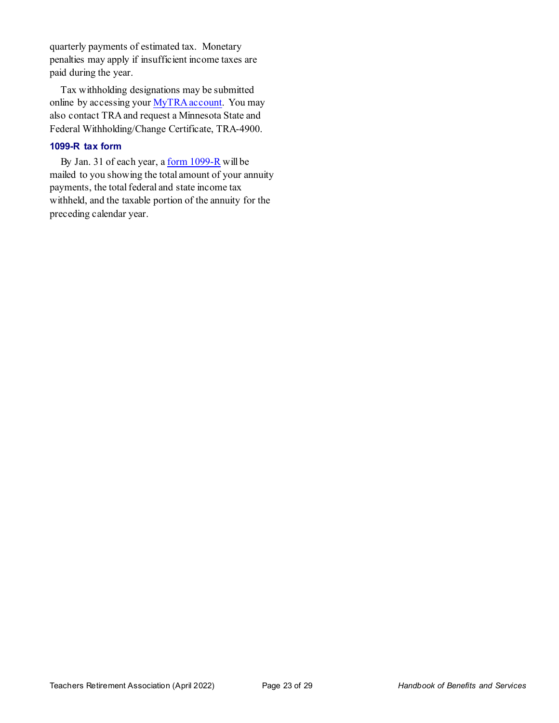quarterly payments of estimated tax. Monetary penalties may apply if insufficient income taxes are paid during the year.

Tax withholding designations may be submitted online by accessing you[r MyTRA account](https://connect.minnesotatra.org/Core/Account/LogOn?ReturnUrl=%2f). You may also contact TRA and request a Minnesota State and Federal Withholding/Change Certificate, TRA-4900.

#### <span id="page-28-0"></span>**1099-R tax form**

By Jan. 31 of each year, [a form 1099-R](http://www.irs.gov/instructions/i1099r/ar02.html#d0e123) will be mailed to you showing the total amount of your annuity payments, the total federal and state income tax withheld, and the taxable portion of the annuity for the preceding calendar year.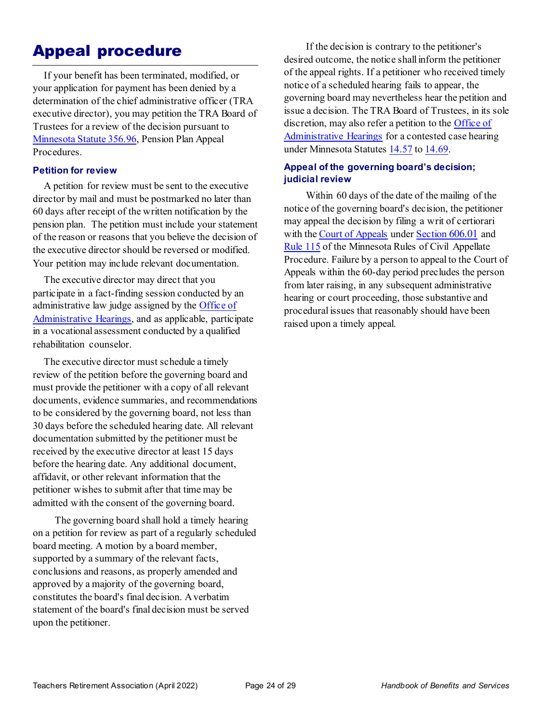## <span id="page-29-0"></span>Appeal procedure

If your benefit has been terminated, modified, or your application for payment has been denied by a determination of the chief administrative officer (TRA executive director), you may petition the TRA Board of Trustees for a review of the decision pursuant to [Minnesota Statute 356.96,](https://www.revisor.mn.gov/statutes/?id=356.96) Pension Plan Appeal Procedures.

#### <span id="page-29-1"></span>**Petition for review**

A petition for review must be sent to the executive director by mail and must be postmarked no later than 60 days after receipt of the written notification by the pension plan. The petition must include your statement of the reason or reasons that you believe the decision of the executive director should be reversed or modified. Your petition may include relevant documentation.

The executive director may direct that you participate in a fact-finding session conducted by an administrative law judge assigned by the [Office of](http://www.oah.state.mn.us/)  [Administrative Hearings,](http://www.oah.state.mn.us/) and as applicable, participate in a vocational assessment conducted by a qualified rehabilitation counselor.

The executive director must schedule a timely review of the petition before the governing board and must provide the petitioner with a copy of all relevant documents, evidence summaries, and recommendations to be considered by the governing board, not less than 30 days before the scheduled hearing date. All relevant documentation submitted by the petitioner must be received by the executive director at least 15 days before the hearing date. Any additional document, affidavit, or other relevant information that the petitioner wishes to submit after that time may be admitted with the consent of the governing board.

The governing board shall hold a timely hearing on a petition for review as part of a regularly scheduled board meeting. A motion by a board member, supported by a summary of the relevant facts, conclusions and reasons, as properly amended and approved by a majority of the governing board, constitutes the board's final decision. A verbatim statement of the board's final decision must be served upon the petitioner.

If the decision is contrary to the petitioner's desired outcome, the notice shall inform the petitioner of the appeal rights. If a petitioner who received timely notice of a scheduled hearing fails to appear, the governing board may nevertheless hear the petition and issue a decision. The TRA Board of Trustees, in its sole discretion, may also refer a petition to the [Office of](http://www.oah.state.mn.us/)  [Administrative Hearings](http://www.oah.state.mn.us/) for a contested case hearing under Minnesota Statutes [14.57](https://www.revisor.mn.gov/statutes/?id=14.57) t[o 14.69.](https://www.revisor.mn.gov/statutes/?id=14.69)

#### <span id="page-29-2"></span>**Appeal of the governing board's decision; judicial review**

Within 60 days of the date of the mailing of the notice of the governing board's decision, the petitioner may appeal the decision by filing a writ of certiorari with the [Court of Appeals](http://www.mncourts.gov/CourtOfAppeals.aspx) under [Section 606.01](https://www.revisor.mn.gov/statutes/?id=606.01#stat.606.01) and [Rule 115](https://www.revisor.mn.gov/court_rules/rule/aprcap-toh/) of the Minnesota Rules of Civil Appellate Procedure. Failure by a person to appeal to the Court of Appeals within the 60-day period precludes the person from later raising, in any subsequent administrative hearing or court proceeding, those substantive and procedural issues that reasonably should have been raised upon a timely appeal.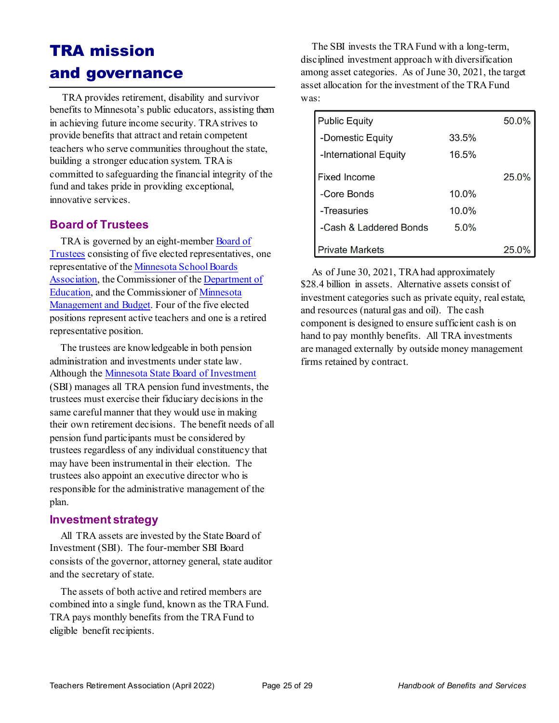## <span id="page-30-0"></span>TRA mission and governance

 TRA provides retirement, disability and survivor benefits to Minnesota's public educators, assisting them in achieving future income security. TRA strives to provide benefits that attract and retain competent teachers who serve communities throughout the state, building a stronger education system. TRA is committed to safeguarding the financial integrity of the fund and takes pride in providing exceptional, innovative services.

#### <span id="page-30-1"></span>**Board of Trustees**

TRA is governed by an eight-member [Board of](https://minnesotatra.org/about/board/)  [Trustees](https://minnesotatra.org/about/board/) consisting of five elected representatives, one representative of th[e Minnesota School Boards](http://www.mnmsba.org/)  [Association,](http://www.mnmsba.org/) the Commissioner of th[e Department of](http://education.state.mn.us/mde/index.html)  [Education,](http://education.state.mn.us/mde/index.html) and the Commissioner o[f Minnesota](https://mn.gov/mmb/)  [Management and Budget.](https://mn.gov/mmb/) Four of the five elected positions represent active teachers and one is a retired representative position.

The trustees are knowledgeable in both pension administration and investments under state law. Although th[e Minnesota State Board of Investment](http://www.sbi.state.mn.us/) (SBI) manages all TRA pension fund investments, the trustees must exercise their fiduciary decisions in the same careful manner that they would use in making their own retirement decisions. The benefit needs of all pension fund participants must be considered by trustees regardless of any individual constituency that may have been instrumental in their election. The trustees also appoint an executive director who is responsible for the administrative management of the plan.

#### <span id="page-30-2"></span>**Investment strategy**

All TRA assets are invested by the State Board of Investment (SBI). The four-member SBI Board consists of the governor, attorney general, state auditor and the secretary of state.

The assets of both active and retired members are combined into a single fund, known as the TRA Fund. TRA pays monthly benefits from the TRA Fund to eligible benefit recipients.

The SBI invests the TRA Fund with a long-term, disciplined investment approach with diversification among asset categories. As of June 30, 2021, the target asset allocation for the investment of the TRA Fund was:

| <b>Public Equity</b>   |          | 50.0% |
|------------------------|----------|-------|
| -Domestic Equity       | 33.5%    |       |
| -International Equity  | 16.5%    |       |
| Fixed Income           |          | 25.0% |
| -Core Bonds            | $10.0\%$ |       |
| -Treasuries            | $10.0\%$ |       |
| -Cash & Laddered Bonds | 5.0%     |       |
| <b>Private Markets</b> |          | 25.0  |

As of June 30, 2021, TRA had approximately \$28.4 billion in assets. Alternative assets consist of investment categories such as private equity, real estate, and resources (natural gas and oil). The cash component is designed to ensure sufficient cash is on hand to pay monthly benefits. All TRA investments are managed externally by outside money management firms retained by contract.